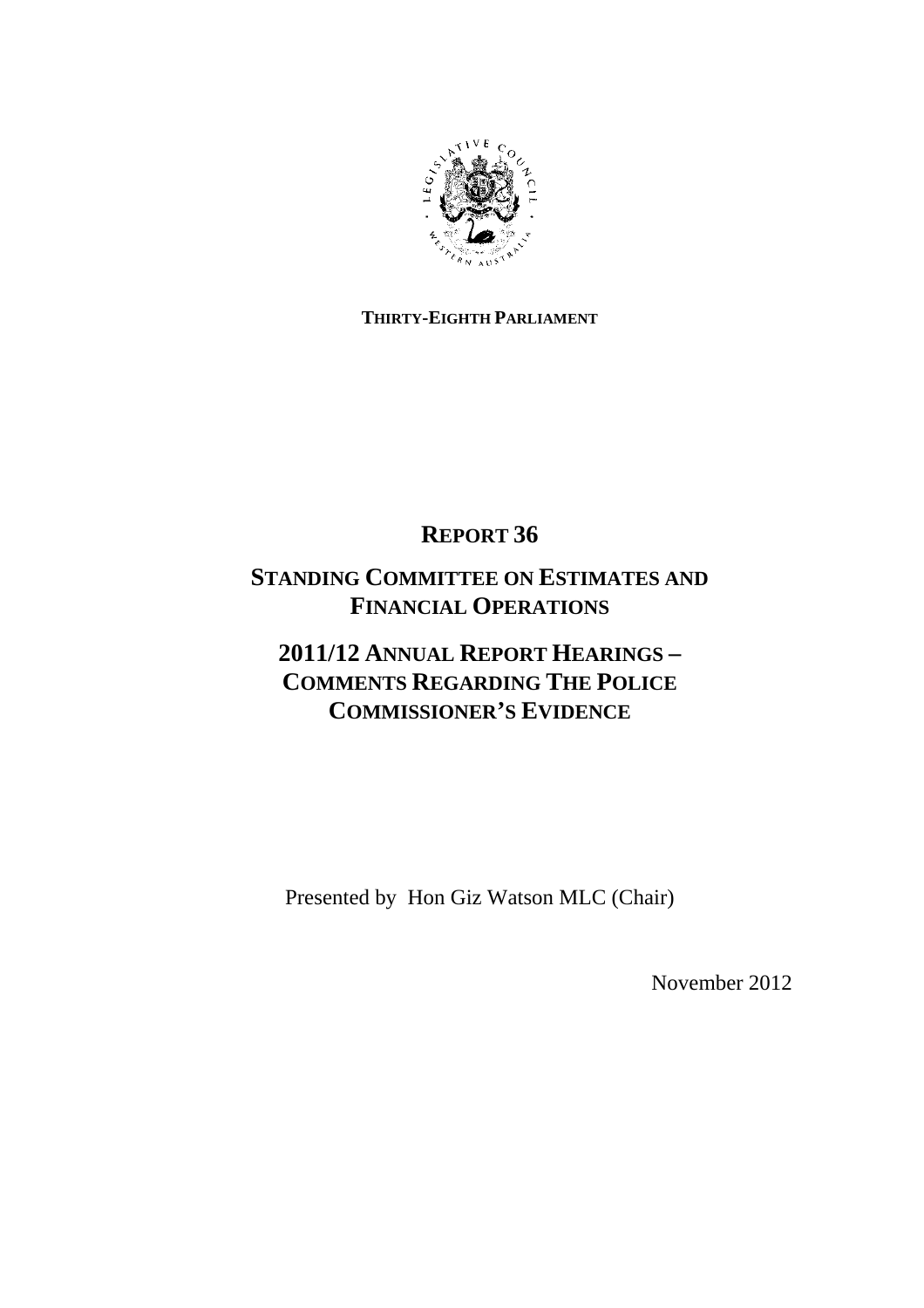

# **THIRTY-EIGHTH PARLIAMENT**

# **REPORT 36**

# **STANDING COMMITTEE ON ESTIMATES AND FINANCIAL OPERATIONS**

# **2011/12 ANNUAL REPORT HEARINGS – COMMENTS REGARDING THE POLICE COMMISSIONER'S EVIDENCE**

Presented by Hon Giz Watson MLC (Chair)

November 2012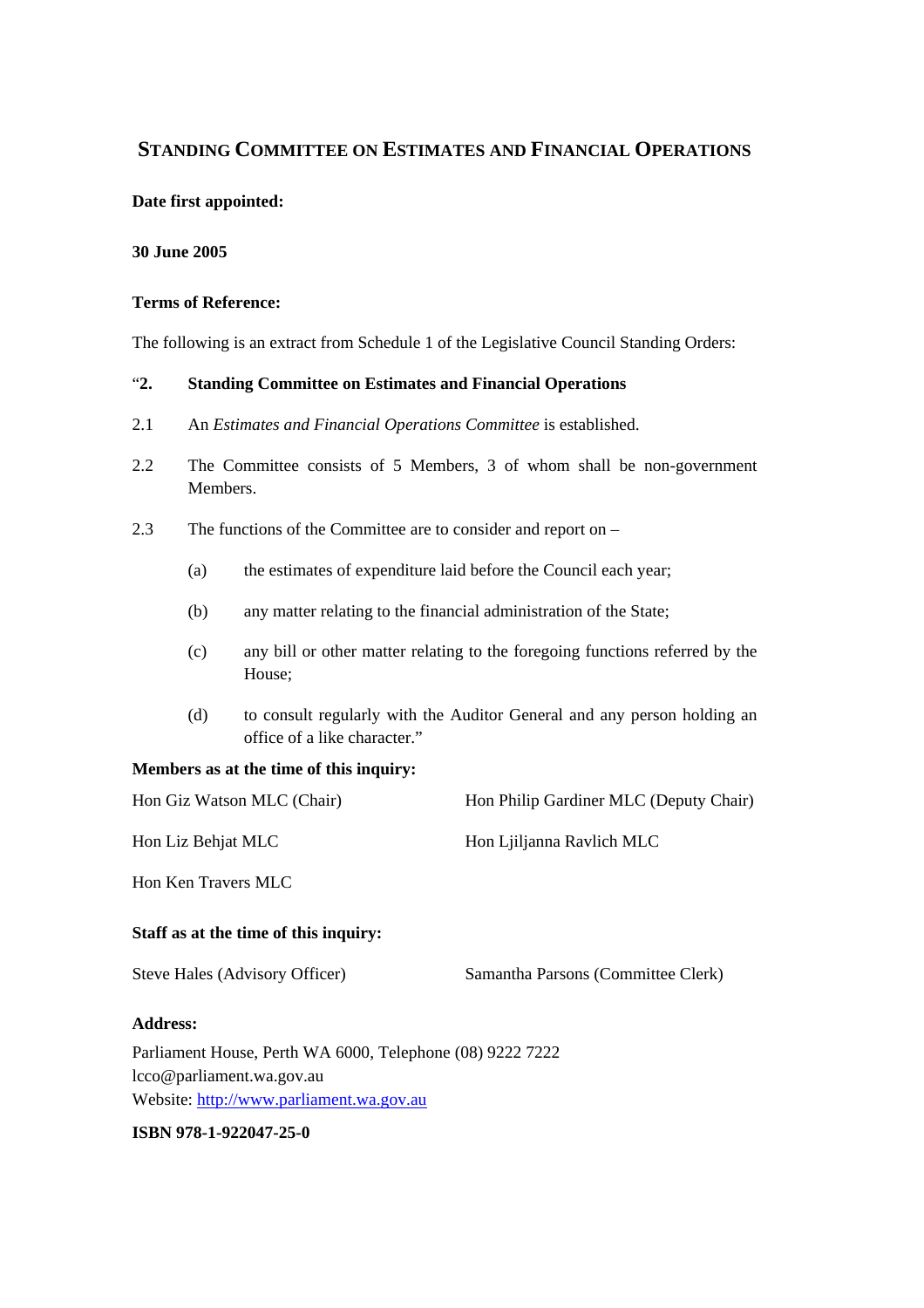# **STANDING COMMITTEE ON ESTIMATES AND FINANCIAL OPERATIONS**

#### **Date first appointed:**

#### **30 June 2005**

#### **Terms of Reference:**

The following is an extract from Schedule 1 of the Legislative Council Standing Orders:

#### "**2. Standing Committee on Estimates and Financial Operations**

- 2.1 An *Estimates and Financial Operations Committee* is established.
- 2.2 The Committee consists of 5 Members, 3 of whom shall be non-government Members.
- 2.3 The functions of the Committee are to consider and report on
	- (a) the estimates of expenditure laid before the Council each year;
	- (b) any matter relating to the financial administration of the State;
	- (c) any bill or other matter relating to the foregoing functions referred by the House;
	- (d) to consult regularly with the Auditor General and any person holding an office of a like character."

#### **Members as at the time of this inquiry:**

| Hon Giz Watson MLC (Chair) | Hon Philip Gardiner MLC (Deputy Chair) |
|----------------------------|----------------------------------------|
| Hon Liz Behjat MLC         | Hon Ljiljanna Ravlich MLC              |

Hon Ken Travers MLC

#### **Staff as at the time of this inquiry:**

| Steve Hales (Advisory Officer) | Samantha Parsons (Committee Clerk) |
|--------------------------------|------------------------------------|
|--------------------------------|------------------------------------|

#### **Address:**

Parliament House, Perth WA 6000, Telephone (08) 9222 7222 lcco@parliament.wa.gov.au Website: http://www.parliament.wa.gov.au

#### **ISBN 978-1-922047-25-0**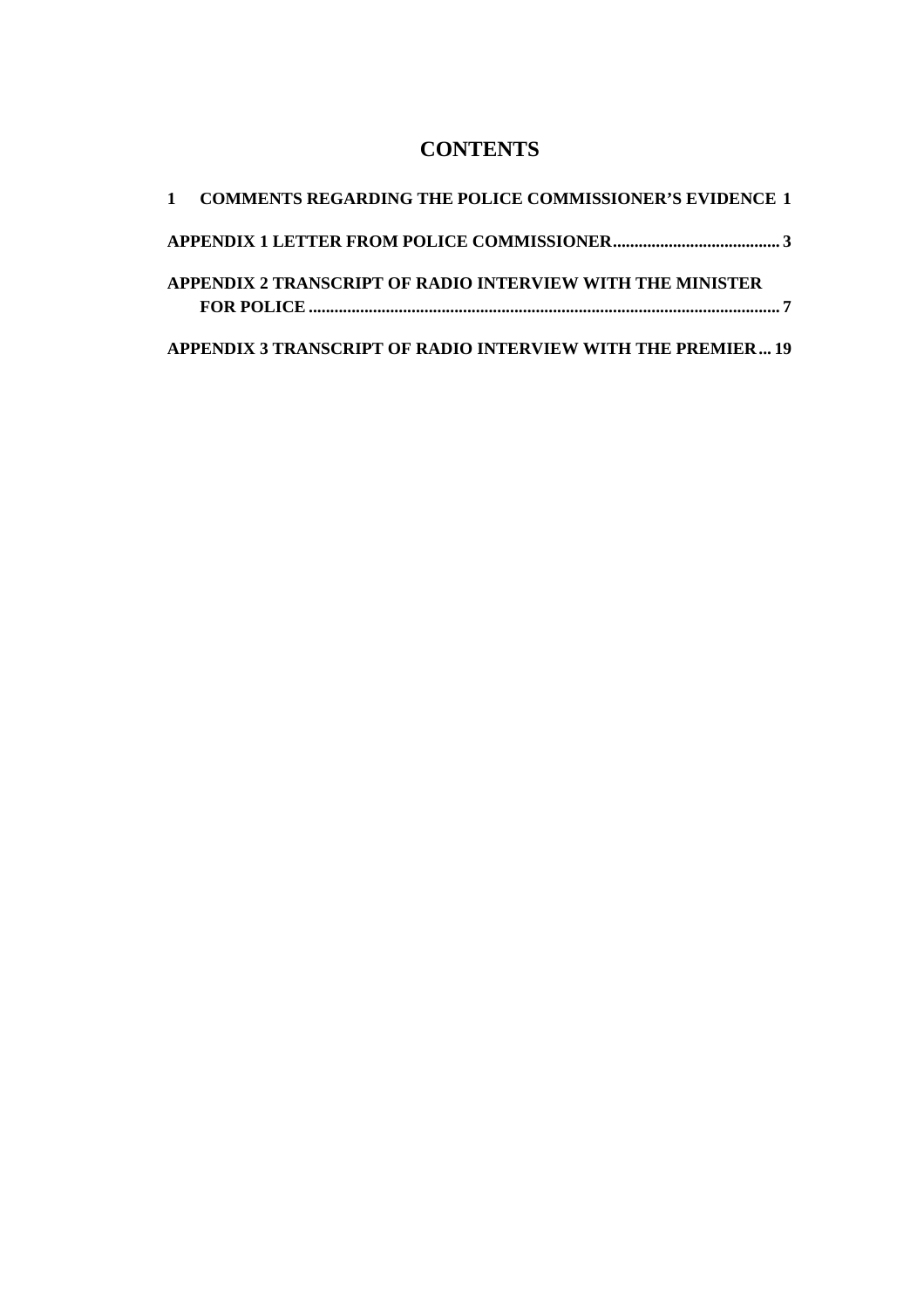# **CONTENTS**

| 1 COMMENTS REGARDING THE POLICE COMMISSIONER'S EVIDENCE 1    |
|--------------------------------------------------------------|
|                                                              |
| APPENDIX 2 TRANSCRIPT OF RADIO INTERVIEW WITH THE MINISTER   |
| APPENDIX 3 TRANSCRIPT OF RADIO INTERVIEW WITH THE PREMIER 19 |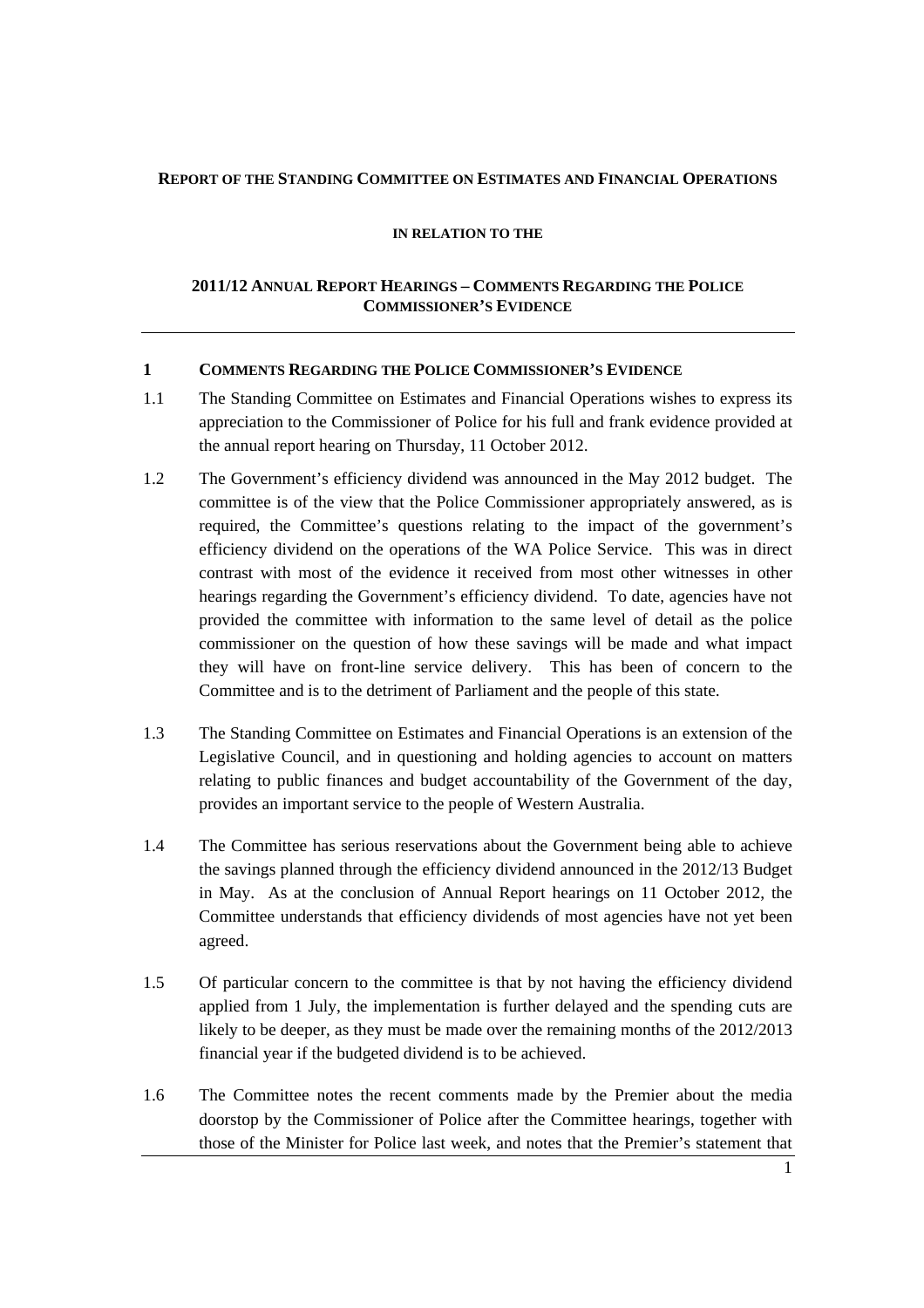#### **REPORT OF THE STANDING COMMITTEE ON ESTIMATES AND FINANCIAL OPERATIONS**

#### **IN RELATION TO THE**

#### **2011/12 ANNUAL REPORT HEARINGS – COMMENTS REGARDING THE POLICE COMMISSIONER'S EVIDENCE**

#### **1 COMMENTS REGARDING THE POLICE COMMISSIONER'S EVIDENCE**

- 1.1 The Standing Committee on Estimates and Financial Operations wishes to express its appreciation to the Commissioner of Police for his full and frank evidence provided at the annual report hearing on Thursday, 11 October 2012.
- 1.2 The Government's efficiency dividend was announced in the May 2012 budget. The committee is of the view that the Police Commissioner appropriately answered, as is required, the Committee's questions relating to the impact of the government's efficiency dividend on the operations of the WA Police Service. This was in direct contrast with most of the evidence it received from most other witnesses in other hearings regarding the Government's efficiency dividend. To date, agencies have not provided the committee with information to the same level of detail as the police commissioner on the question of how these savings will be made and what impact they will have on front-line service delivery. This has been of concern to the Committee and is to the detriment of Parliament and the people of this state.
- 1.3 The Standing Committee on Estimates and Financial Operations is an extension of the Legislative Council, and in questioning and holding agencies to account on matters relating to public finances and budget accountability of the Government of the day, provides an important service to the people of Western Australia.
- 1.4 The Committee has serious reservations about the Government being able to achieve the savings planned through the efficiency dividend announced in the 2012/13 Budget in May. As at the conclusion of Annual Report hearings on 11 October 2012, the Committee understands that efficiency dividends of most agencies have not yet been agreed.
- 1.5 Of particular concern to the committee is that by not having the efficiency dividend applied from 1 July, the implementation is further delayed and the spending cuts are likely to be deeper, as they must be made over the remaining months of the 2012/2013 financial year if the budgeted dividend is to be achieved.
- 1.6 The Committee notes the recent comments made by the Premier about the media doorstop by the Commissioner of Police after the Committee hearings, together with those of the Minister for Police last week, and notes that the Premier's statement that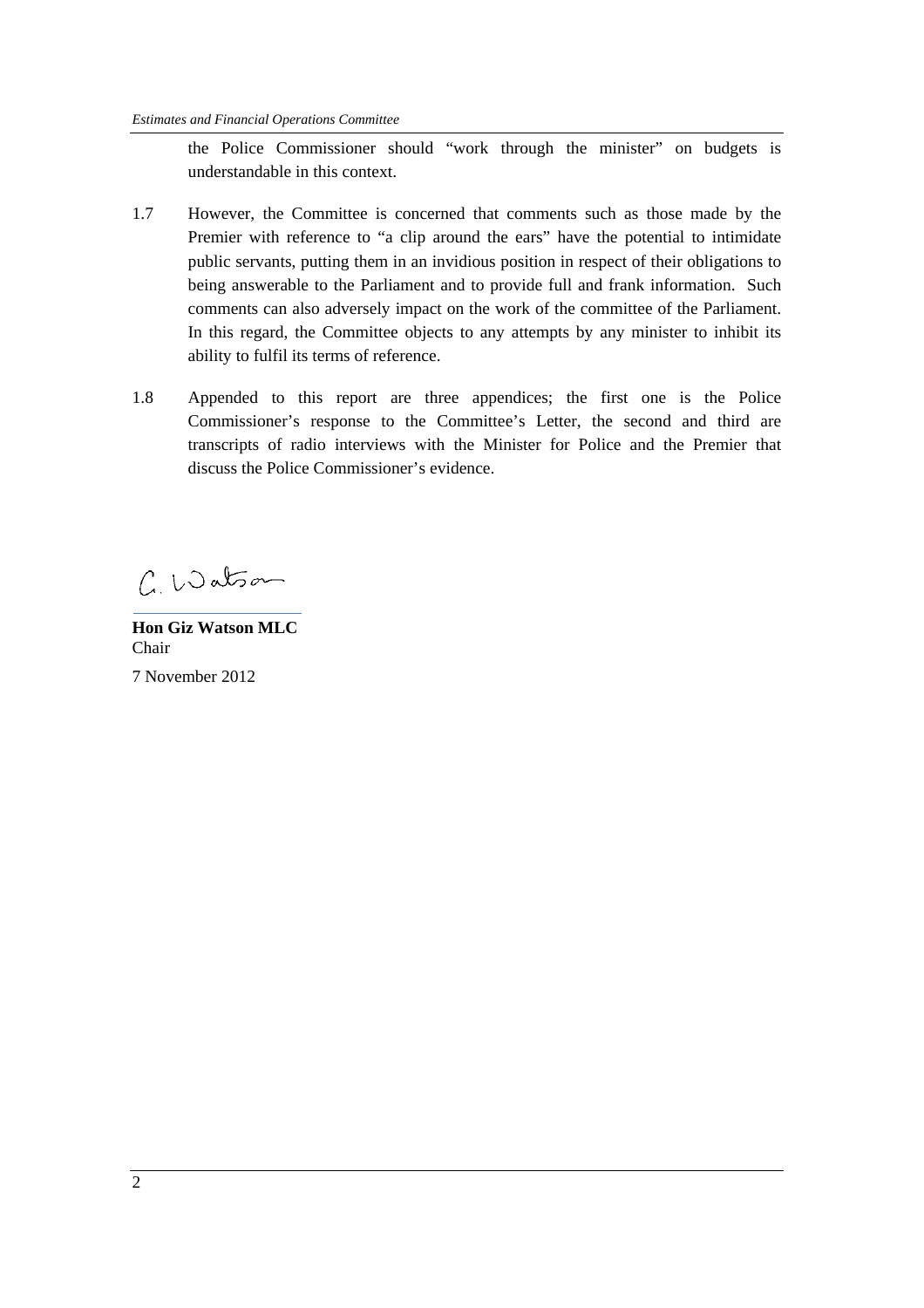the Police Commissioner should "work through the minister" on budgets is understandable in this context.

- 1.7 However, the Committee is concerned that comments such as those made by the Premier with reference to "a clip around the ears" have the potential to intimidate public servants, putting them in an invidious position in respect of their obligations to being answerable to the Parliament and to provide full and frank information. Such comments can also adversely impact on the work of the committee of the Parliament. In this regard, the Committee objects to any attempts by any minister to inhibit its ability to fulfil its terms of reference.
- 1.8 Appended to this report are three appendices; the first one is the Police Commissioner's response to the Committee's Letter, the second and third are transcripts of radio interviews with the Minister for Police and the Premier that discuss the Police Commissioner's evidence.

 $C.$  Watson

**Hon Giz Watson MLC**  Chair 7 November 2012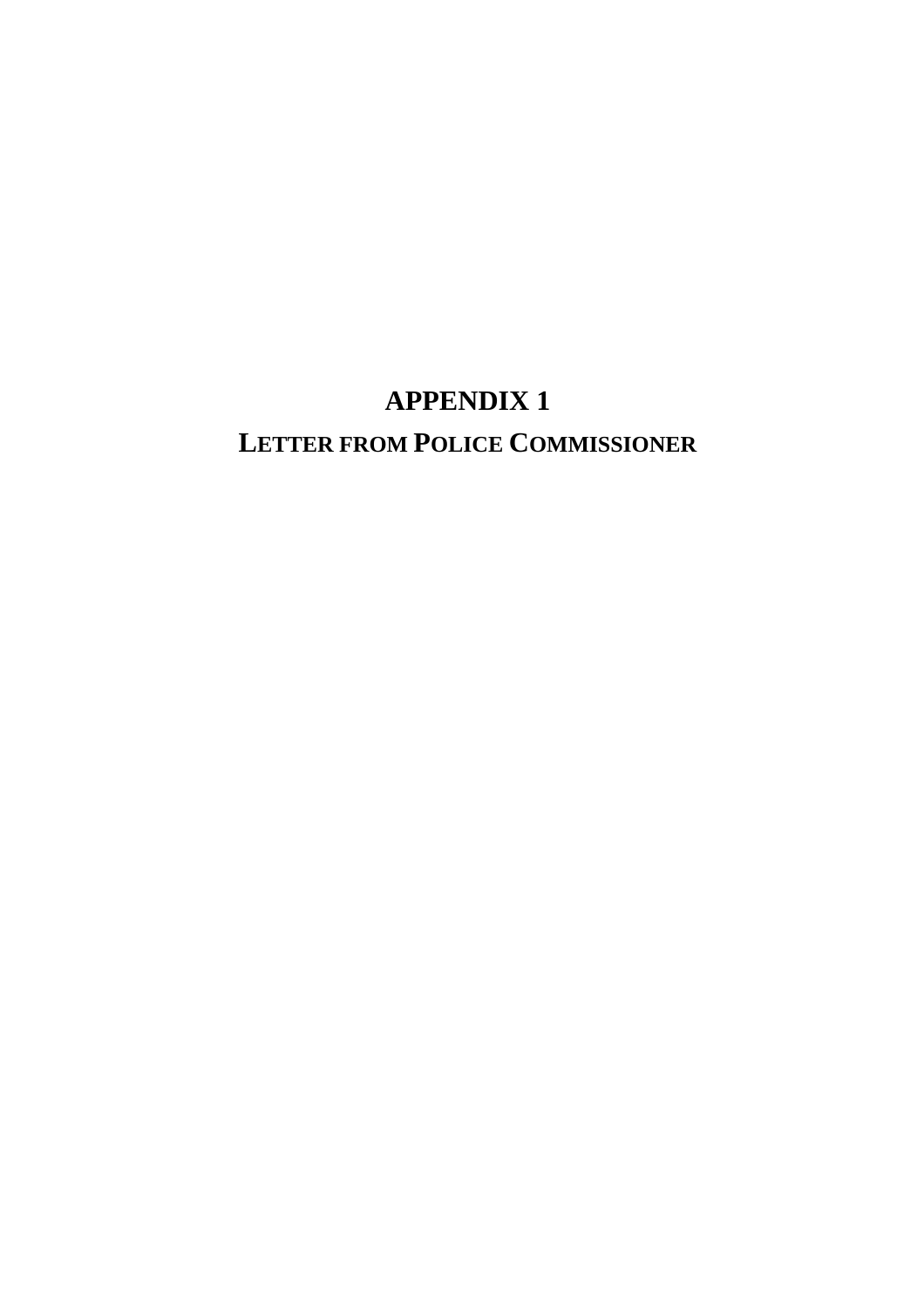# **APPENDIX 1 LETTER FROM POLICE COMMISSIONER**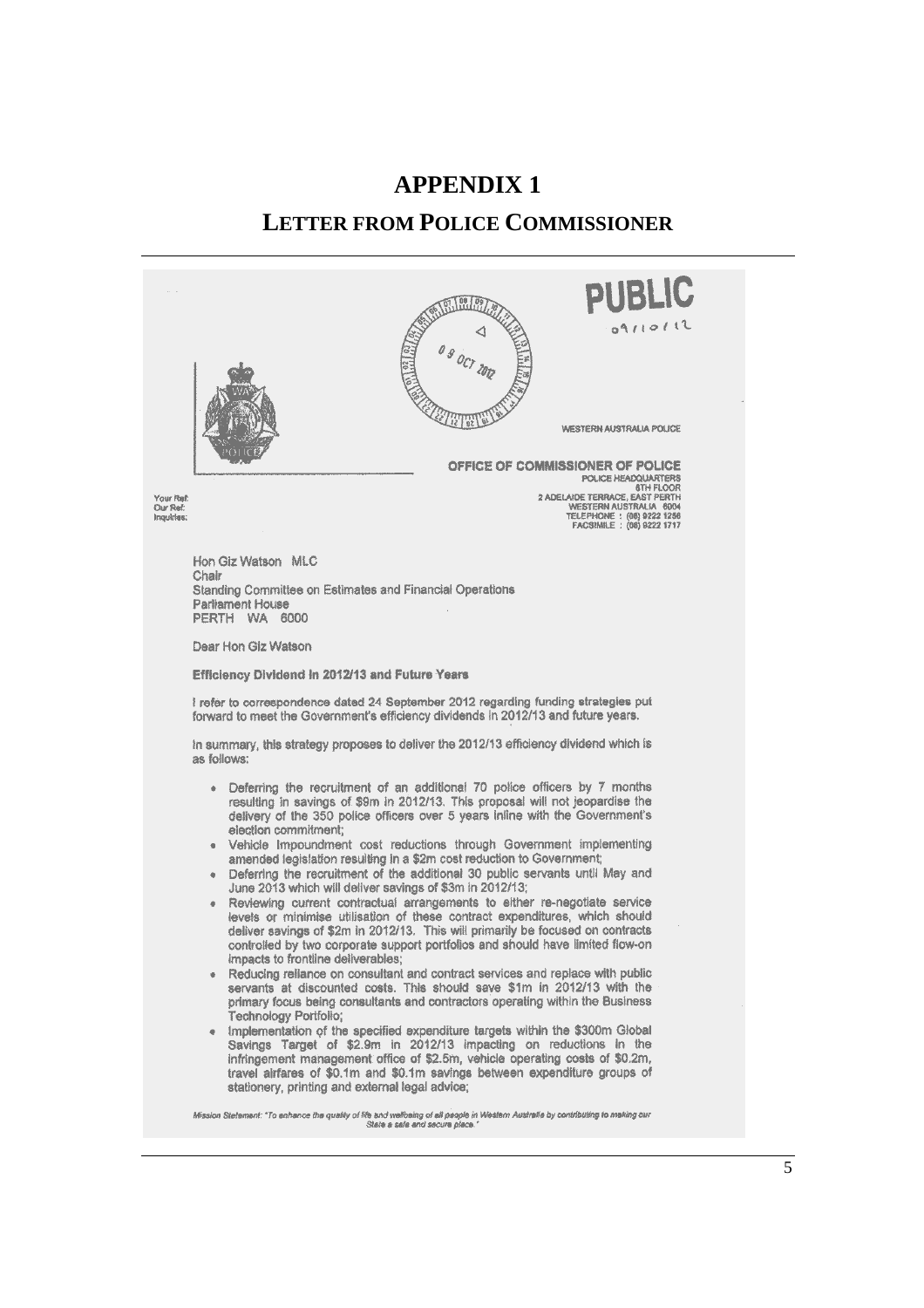# **APPENDIX 1 LETTER FROM POLICE COMMISSIONER**



5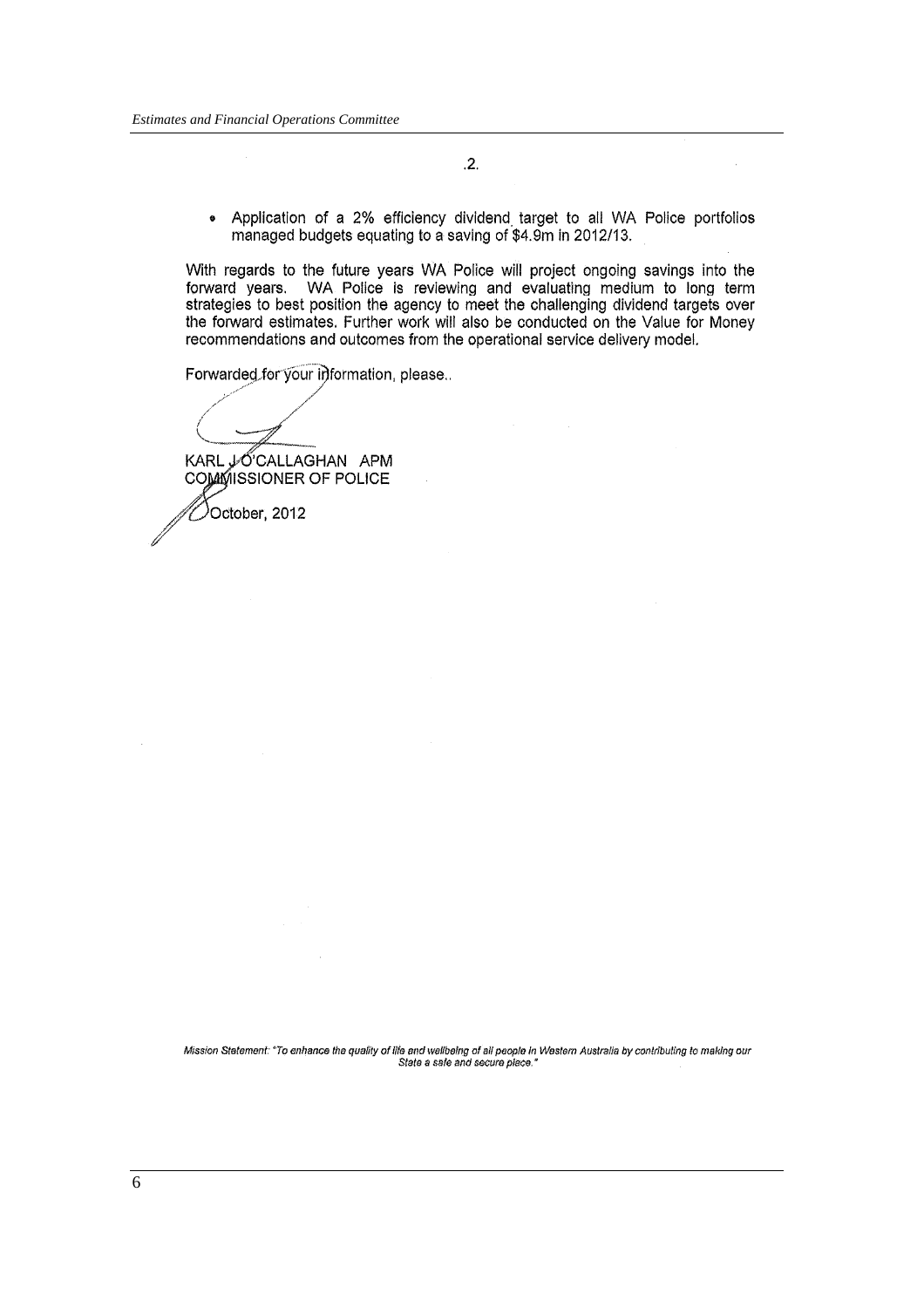$.2.$ 

Application of a 2% efficiency dividend target to all WA Police portfolios  $\bullet$ managed budgets equating to a saving of \$4.9m in 2012/13.

With regards to the future years WA Police will project ongoing savings into the forward years. WA Police is reviewing and evaluating medium to long term strategies to best position the agency to meet the challenging dividend targets over the forward estimates. Further work will also be conducted on the Value for Money recommendations and outcomes from the operational service delivery model.

Forwarded for your information, please..

October, 2012

KARL JOCALLAGHAN APM COMMISSIONER OF POLICE

Mission Statement: "To enhance the quality of life and wellbeing of all people in Western Australia by contributing to making our State a sale and secure place."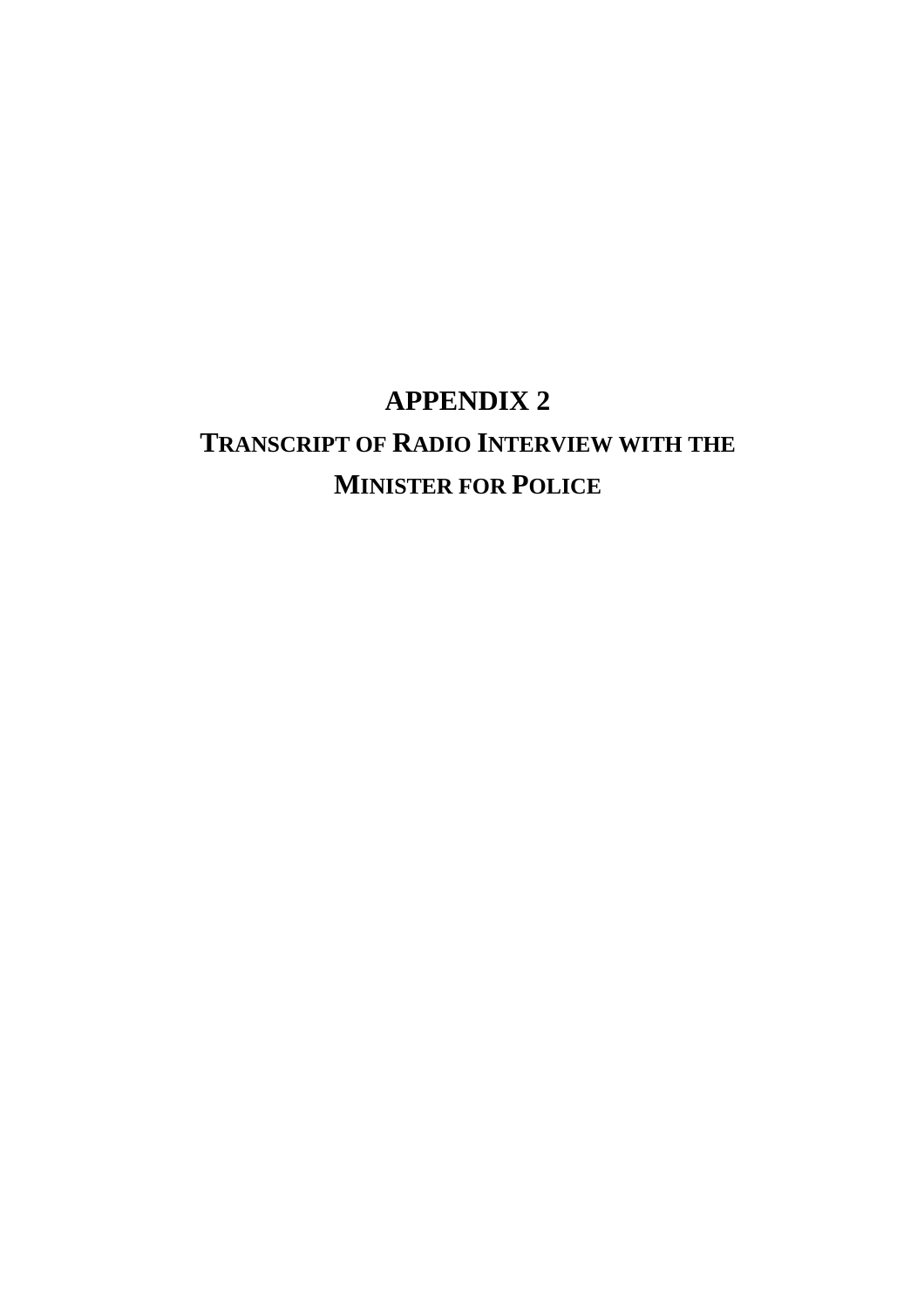# **APPENDIX 2**

# **TRANSCRIPT OF RADIO INTERVIEW WITH THE MINISTER FOR POLICE**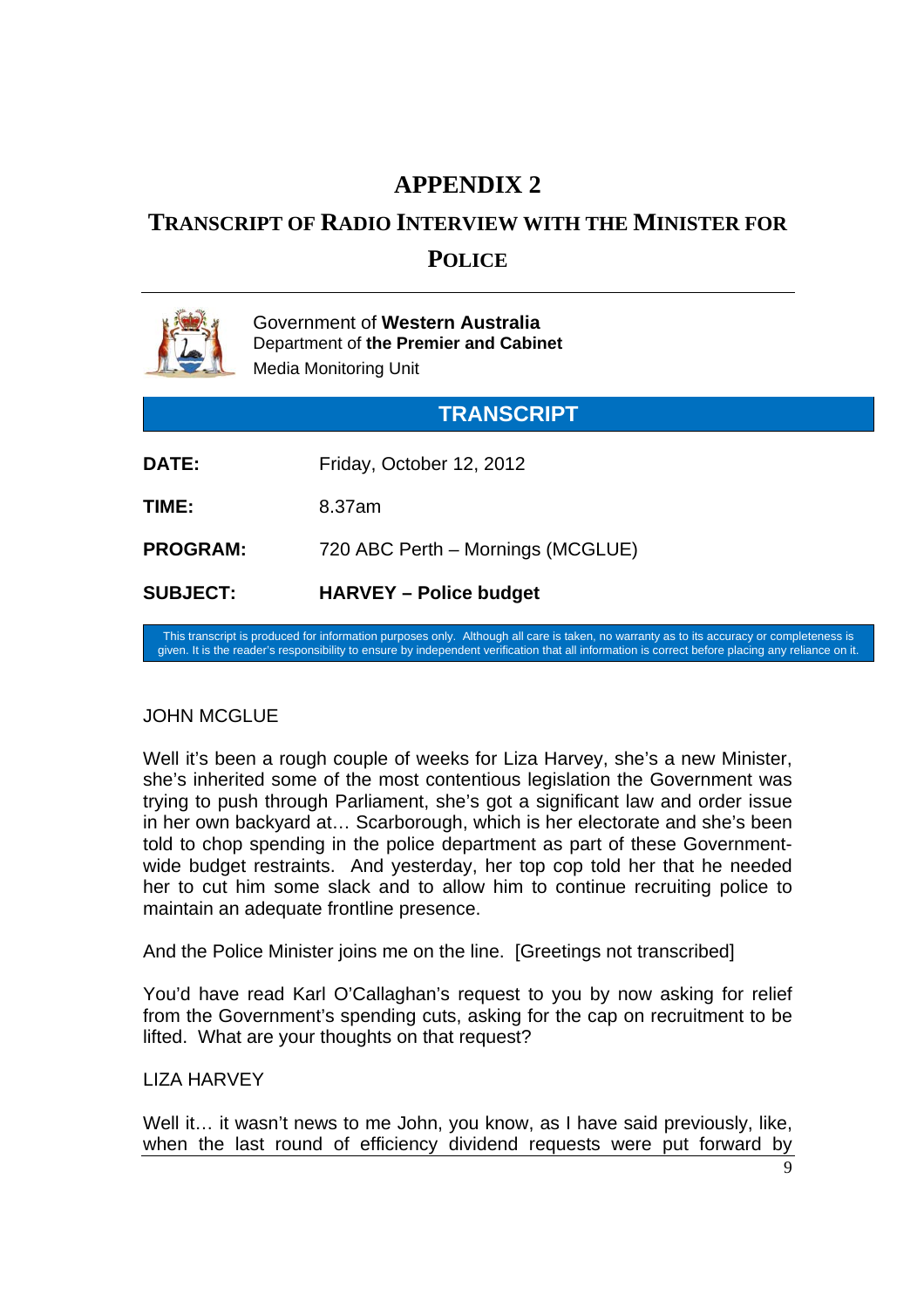# **APPENDIX 2**

# **TRANSCRIPT OF RADIO INTERVIEW WITH THE MINISTER FOR**

# **POLICE**

|                   | Government of Western Australia<br>Department of the Premier and Cabinet<br><b>Media Monitoring Unit</b> |  |
|-------------------|----------------------------------------------------------------------------------------------------------|--|
| <b>TRANSCRIPT</b> |                                                                                                          |  |
| DATE:             | Friday, October 12, 2012                                                                                 |  |
| TIME:             | 8.37am                                                                                                   |  |
| <b>PROGRAM:</b>   | 720 ABC Perth - Mornings (MCGLUE)                                                                        |  |
| <b>SUBJECT:</b>   | <b>HARVEY – Police budget</b>                                                                            |  |

This transcript is produced for information purposes only. Although all care is taken, no warranty as to its accuracy or completeness is given. It is the reader's responsibility to ensure by independent verification that all information is correct before placing any reliance on it.

# JOHN MCGLUE

Well it's been a rough couple of weeks for Liza Harvey, she's a new Minister, she's inherited some of the most contentious legislation the Government was trying to push through Parliament, she's got a significant law and order issue in her own backyard at… Scarborough, which is her electorate and she's been told to chop spending in the police department as part of these Governmentwide budget restraints. And yesterday, her top cop told her that he needed her to cut him some slack and to allow him to continue recruiting police to maintain an adequate frontline presence.

And the Police Minister joins me on the line. [Greetings not transcribed]

You'd have read Karl O'Callaghan's request to you by now asking for relief from the Government's spending cuts, asking for the cap on recruitment to be lifted. What are your thoughts on that request?

# LIZA HARVEY

Well it... it wasn't news to me John, you know, as I have said previously, like, when the last round of efficiency dividend requests were put forward by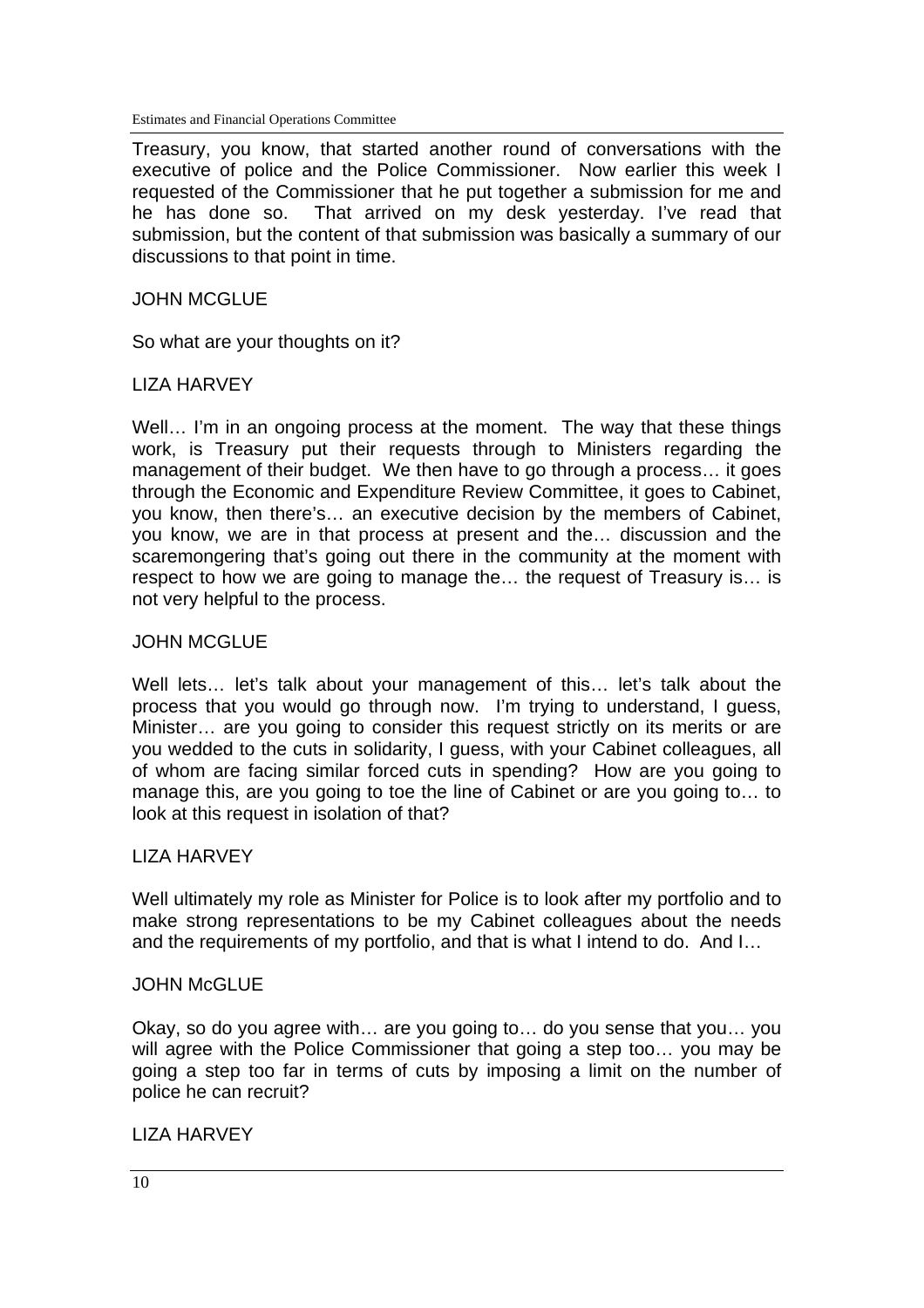Estimates and Financial Operations Committee

Treasury, you know, that started another round of conversations with the executive of police and the Police Commissioner. Now earlier this week I requested of the Commissioner that he put together a submission for me and he has done so. That arrived on my desk yesterday. I've read that submission, but the content of that submission was basically a summary of our discussions to that point in time.

#### JOHN MCGLUE

So what are your thoughts on it?

#### LIZA HARVEY

Well... I'm in an ongoing process at the moment. The way that these things work, is Treasury put their requests through to Ministers regarding the management of their budget. We then have to go through a process... it goes through the Economic and Expenditure Review Committee, it goes to Cabinet, you know, then there's… an executive decision by the members of Cabinet, you know, we are in that process at present and the… discussion and the scaremongering that's going out there in the community at the moment with respect to how we are going to manage the… the request of Treasury is… is not very helpful to the process.

#### JOHN MCGLUE

Well lets... let's talk about your management of this... let's talk about the process that you would go through now. I'm trying to understand, I guess, Minister… are you going to consider this request strictly on its merits or are you wedded to the cuts in solidarity, I guess, with your Cabinet colleagues, all of whom are facing similar forced cuts in spending? How are you going to manage this, are you going to toe the line of Cabinet or are you going to… to look at this request in isolation of that?

#### LIZA HARVEY

Well ultimately my role as Minister for Police is to look after my portfolio and to make strong representations to be my Cabinet colleagues about the needs and the requirements of my portfolio, and that is what I intend to do. And I…

#### **JOHN McGLUE**

Okay, so do you agree with… are you going to… do you sense that you… you will agree with the Police Commissioner that going a step too... you may be going a step too far in terms of cuts by imposing a limit on the number of police he can recruit?

# LIZA HARVEY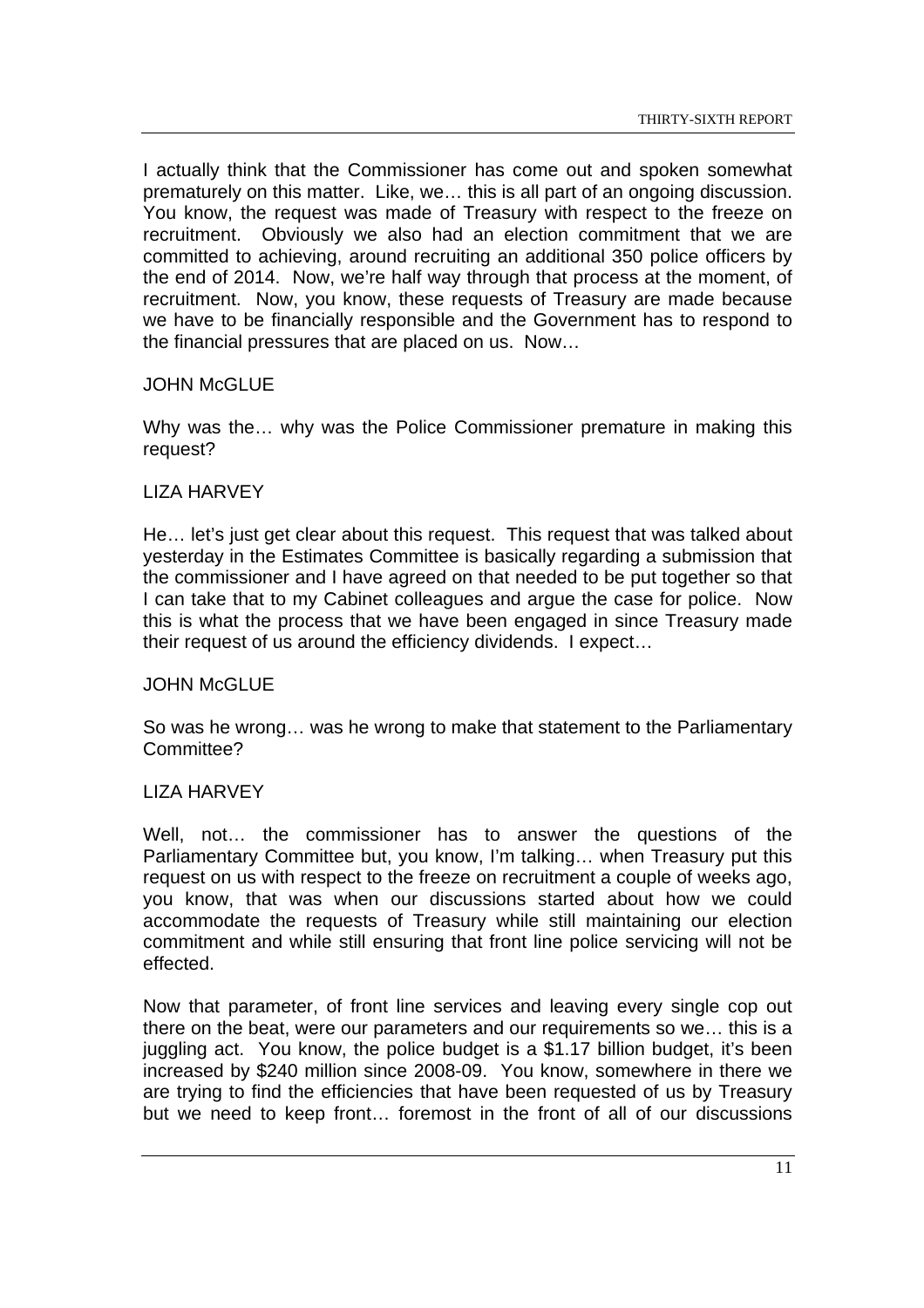I actually think that the Commissioner has come out and spoken somewhat prematurely on this matter. Like, we… this is all part of an ongoing discussion. You know, the request was made of Treasury with respect to the freeze on recruitment. Obviously we also had an election commitment that we are committed to achieving, around recruiting an additional 350 police officers by the end of 2014. Now, we're half way through that process at the moment, of recruitment. Now, you know, these requests of Treasury are made because we have to be financially responsible and the Government has to respond to the financial pressures that are placed on us. Now…

# JOHN McGLUE

Why was the… why was the Police Commissioner premature in making this request?

# LIZA HARVEY

He… let's just get clear about this request. This request that was talked about yesterday in the Estimates Committee is basically regarding a submission that the commissioner and I have agreed on that needed to be put together so that I can take that to my Cabinet colleagues and argue the case for police. Now this is what the process that we have been engaged in since Treasury made their request of us around the efficiency dividends. I expect…

# JOHN McGLUE

So was he wrong… was he wrong to make that statement to the Parliamentary Committee?

# LIZA HARVEY

Well, not… the commissioner has to answer the questions of the Parliamentary Committee but, you know, I'm talking… when Treasury put this request on us with respect to the freeze on recruitment a couple of weeks ago, you know, that was when our discussions started about how we could accommodate the requests of Treasury while still maintaining our election commitment and while still ensuring that front line police servicing will not be effected.

Now that parameter, of front line services and leaving every single cop out there on the beat, were our parameters and our requirements so we… this is a juggling act. You know, the police budget is a \$1.17 billion budget, it's been increased by \$240 million since 2008-09. You know, somewhere in there we are trying to find the efficiencies that have been requested of us by Treasury but we need to keep front… foremost in the front of all of our discussions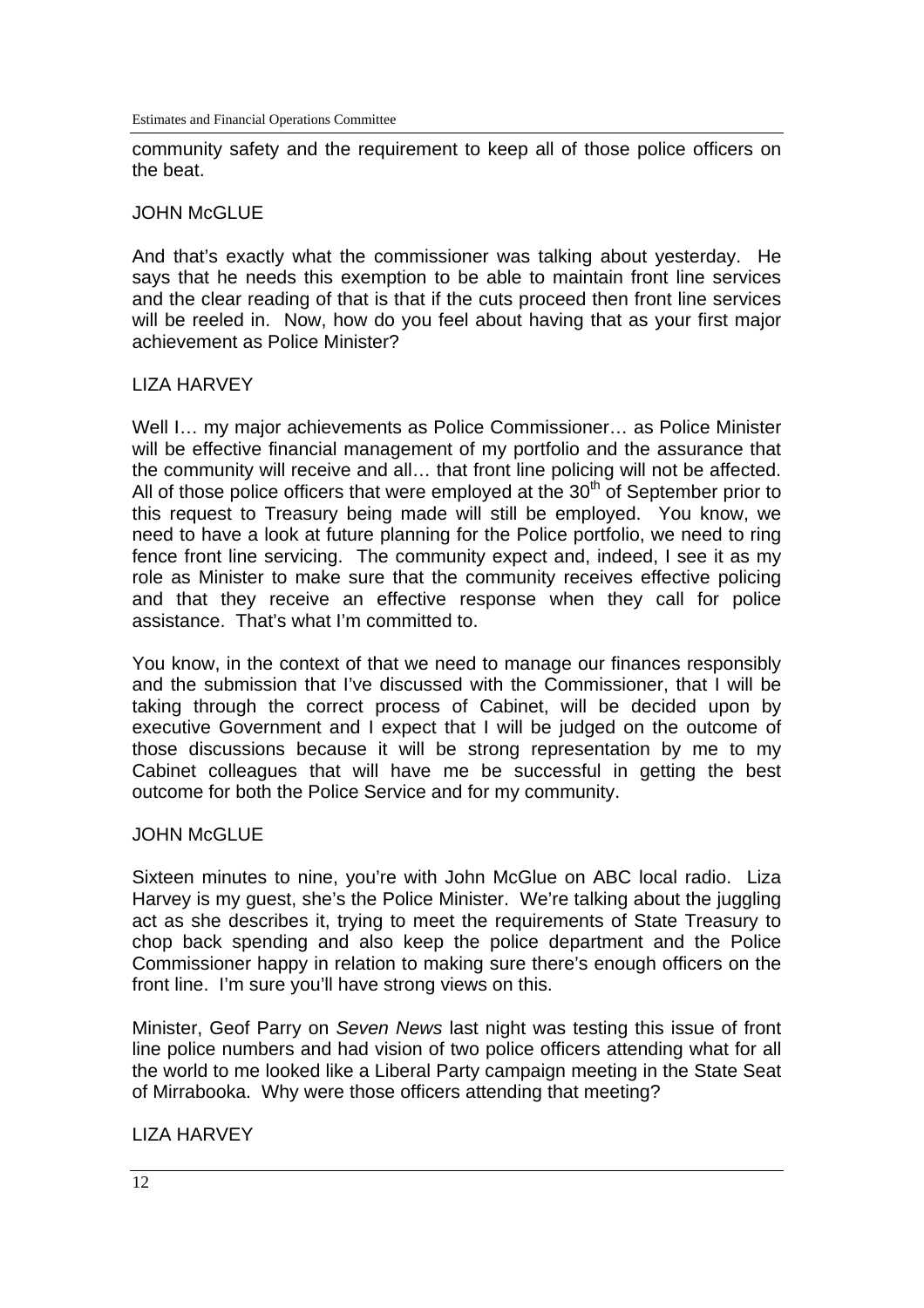community safety and the requirement to keep all of those police officers on the beat.

## **JOHN McGLUE**

And that's exactly what the commissioner was talking about yesterday. He says that he needs this exemption to be able to maintain front line services and the clear reading of that is that if the cuts proceed then front line services will be reeled in. Now, how do you feel about having that as your first major achievement as Police Minister?

# LIZA HARVEY

Well I… my major achievements as Police Commissioner… as Police Minister will be effective financial management of my portfolio and the assurance that the community will receive and all… that front line policing will not be affected. All of those police officers that were employed at the  $30<sup>th</sup>$  of September prior to this request to Treasury being made will still be employed. You know, we need to have a look at future planning for the Police portfolio, we need to ring fence front line servicing. The community expect and, indeed, I see it as my role as Minister to make sure that the community receives effective policing and that they receive an effective response when they call for police assistance. That's what I'm committed to.

You know, in the context of that we need to manage our finances responsibly and the submission that I've discussed with the Commissioner, that I will be taking through the correct process of Cabinet, will be decided upon by executive Government and I expect that I will be judged on the outcome of those discussions because it will be strong representation by me to my Cabinet colleagues that will have me be successful in getting the best outcome for both the Police Service and for my community.

# JOHN McGLUE

Sixteen minutes to nine, you're with John McGlue on ABC local radio. Liza Harvey is my guest, she's the Police Minister. We're talking about the juggling act as she describes it, trying to meet the requirements of State Treasury to chop back spending and also keep the police department and the Police Commissioner happy in relation to making sure there's enough officers on the front line. I'm sure you'll have strong views on this.

Minister, Geof Parry on *Seven News* last night was testing this issue of front line police numbers and had vision of two police officers attending what for all the world to me looked like a Liberal Party campaign meeting in the State Seat of Mirrabooka. Why were those officers attending that meeting?

# LIZA HARVEY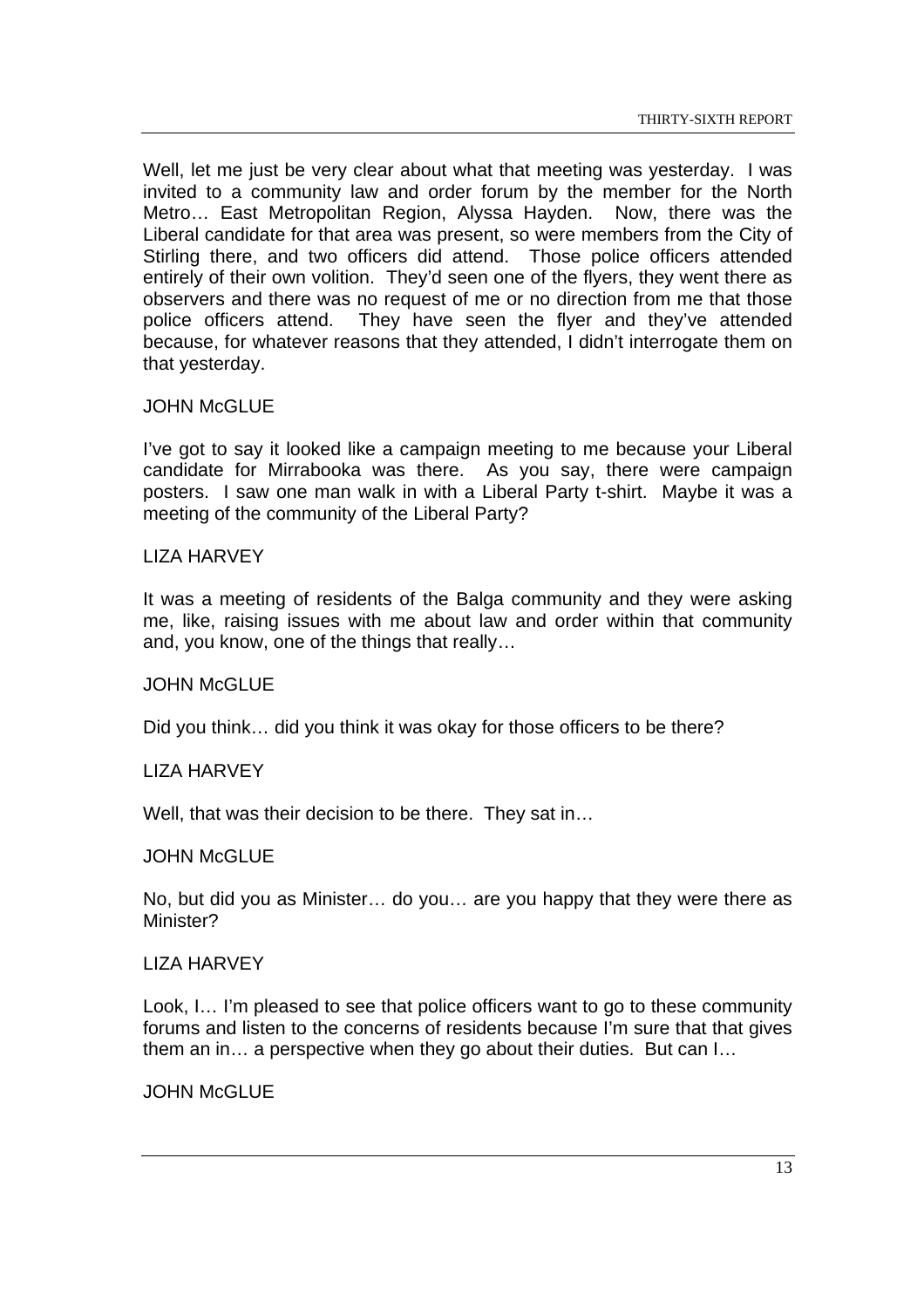Well, let me just be very clear about what that meeting was yesterday. I was invited to a community law and order forum by the member for the North Metro… East Metropolitan Region, Alyssa Hayden. Now, there was the Liberal candidate for that area was present, so were members from the City of Stirling there, and two officers did attend. Those police officers attended entirely of their own volition. They'd seen one of the flyers, they went there as observers and there was no request of me or no direction from me that those police officers attend. They have seen the flyer and they've attended because, for whatever reasons that they attended, I didn't interrogate them on that yesterday.

#### JOHN McGLUE

I've got to say it looked like a campaign meeting to me because your Liberal candidate for Mirrabooka was there. As you say, there were campaign posters. I saw one man walk in with a Liberal Party t-shirt. Maybe it was a meeting of the community of the Liberal Party?

#### LIZA HARVEY

It was a meeting of residents of the Balga community and they were asking me, like, raising issues with me about law and order within that community and, you know, one of the things that really…

#### JOHN McGLUE

Did you think… did you think it was okay for those officers to be there?

#### LIZA HARVEY

Well, that was their decision to be there. They sat in...

#### JOHN McGLUE

No, but did you as Minister… do you… are you happy that they were there as Minister?

#### LIZA HARVEY

Look, I… I'm pleased to see that police officers want to go to these community forums and listen to the concerns of residents because I'm sure that that gives them an in… a perspective when they go about their duties. But can I…

# **JOHN McGLUE**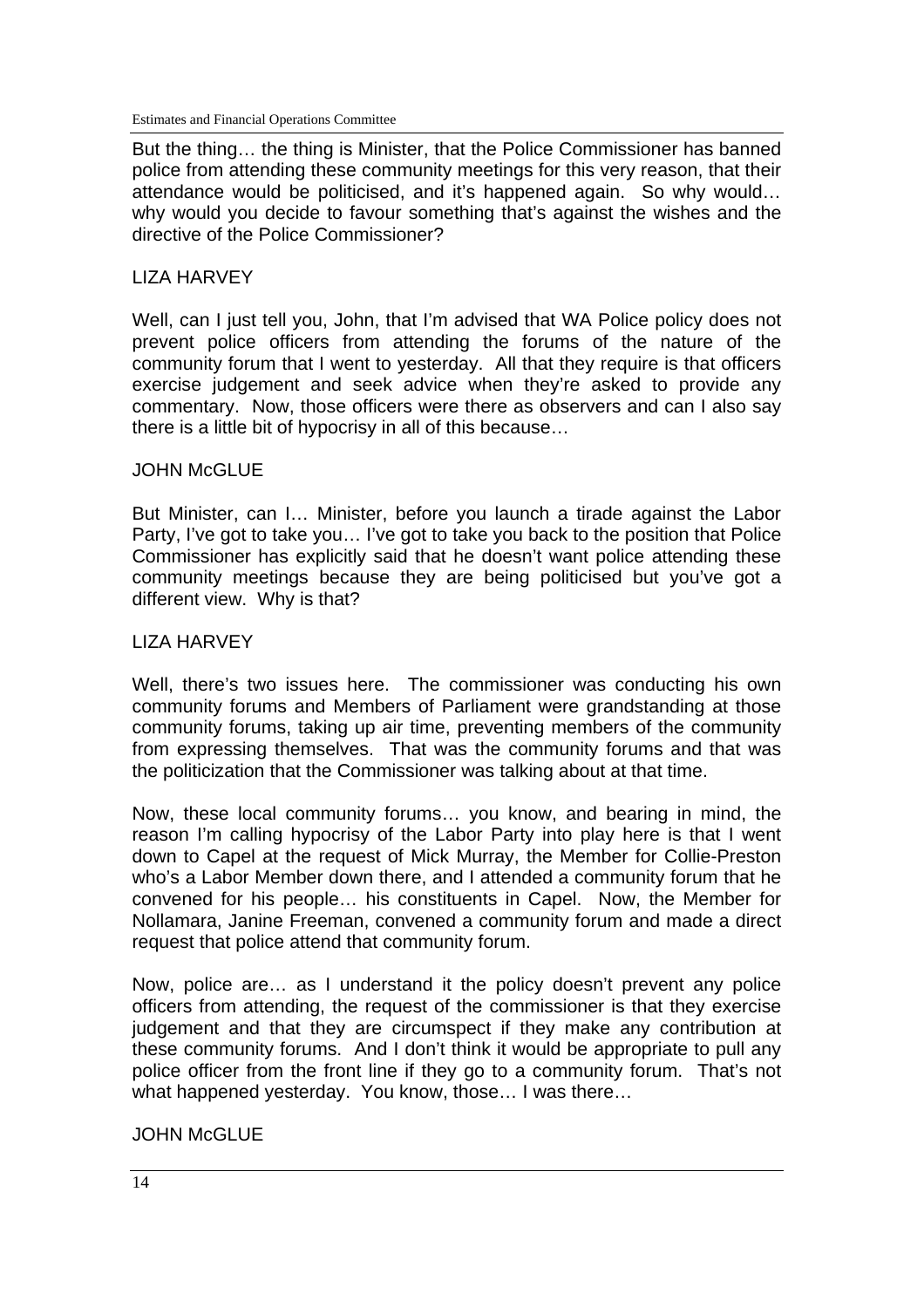But the thing… the thing is Minister, that the Police Commissioner has banned police from attending these community meetings for this very reason, that their attendance would be politicised, and it's happened again. So why would… why would you decide to favour something that's against the wishes and the directive of the Police Commissioner?

# LIZA HARVEY

Well, can I just tell you, John, that I'm advised that WA Police policy does not prevent police officers from attending the forums of the nature of the community forum that I went to yesterday. All that they require is that officers exercise judgement and seek advice when they're asked to provide any commentary. Now, those officers were there as observers and can I also say there is a little bit of hypocrisy in all of this because…

# JOHN McGLUE

But Minister, can I… Minister, before you launch a tirade against the Labor Party, I've got to take you… I've got to take you back to the position that Police Commissioner has explicitly said that he doesn't want police attending these community meetings because they are being politicised but you've got a different view. Why is that?

#### LIZA HARVEY

Well, there's two issues here. The commissioner was conducting his own community forums and Members of Parliament were grandstanding at those community forums, taking up air time, preventing members of the community from expressing themselves. That was the community forums and that was the politicization that the Commissioner was talking about at that time.

Now, these local community forums… you know, and bearing in mind, the reason I'm calling hypocrisy of the Labor Party into play here is that I went down to Capel at the request of Mick Murray, the Member for Collie-Preston who's a Labor Member down there, and I attended a community forum that he convened for his people… his constituents in Capel. Now, the Member for Nollamara, Janine Freeman, convened a community forum and made a direct request that police attend that community forum.

Now, police are… as I understand it the policy doesn't prevent any police officers from attending, the request of the commissioner is that they exercise judgement and that they are circumspect if they make any contribution at these community forums. And I don't think it would be appropriate to pull any police officer from the front line if they go to a community forum. That's not what happened yesterday. You know, those… I was there…

JOHN McGLUE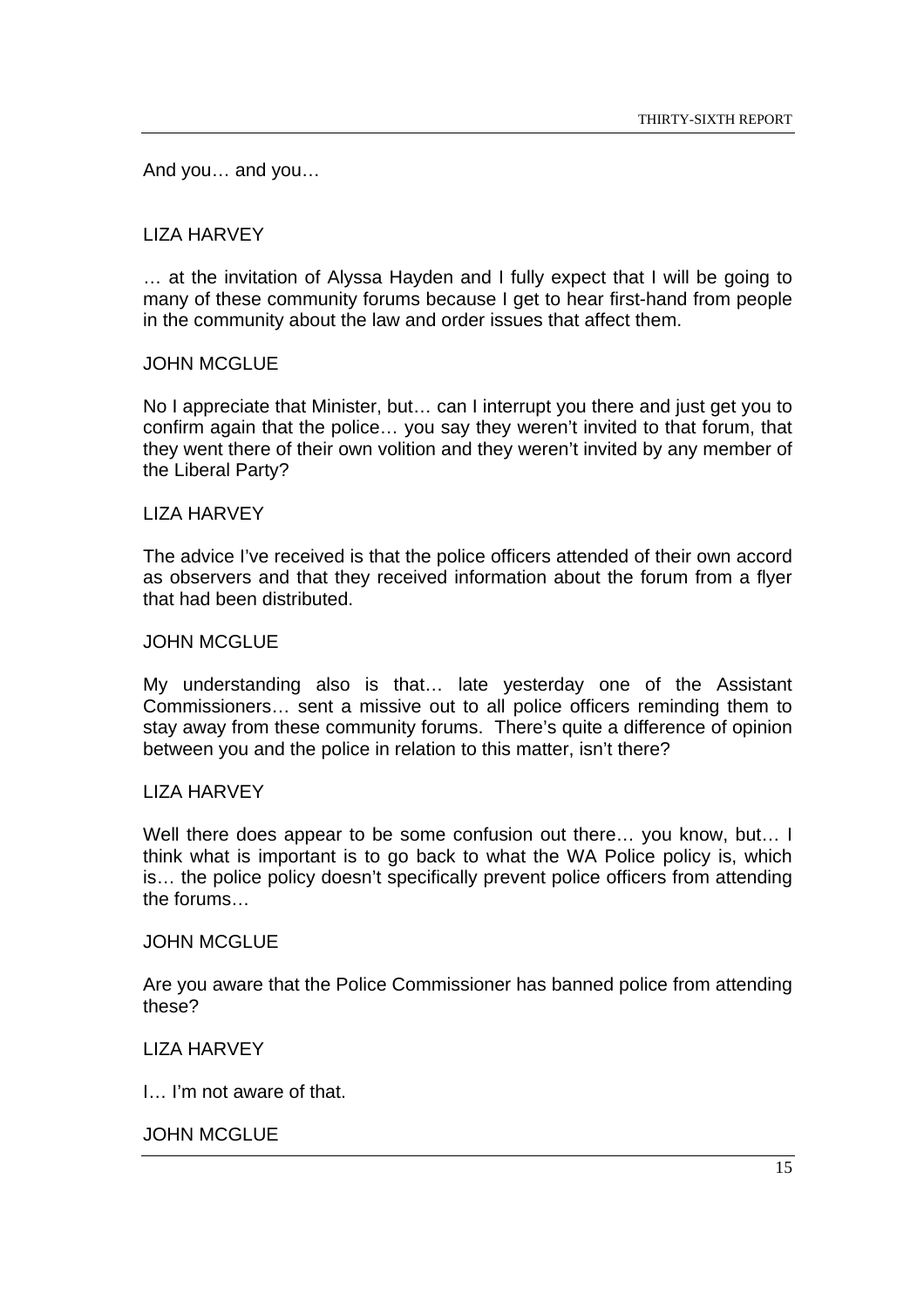And you… and you…

# LIZA HARVEY

… at the invitation of Alyssa Hayden and I fully expect that I will be going to many of these community forums because I get to hear first-hand from people in the community about the law and order issues that affect them.

#### JOHN MCGLUE

No I appreciate that Minister, but… can I interrupt you there and just get you to confirm again that the police… you say they weren't invited to that forum, that they went there of their own volition and they weren't invited by any member of the Liberal Party?

#### LIZA HARVEY

The advice I've received is that the police officers attended of their own accord as observers and that they received information about the forum from a flyer that had been distributed.

#### JOHN MCGLUE

My understanding also is that… late yesterday one of the Assistant Commissioners… sent a missive out to all police officers reminding them to stay away from these community forums. There's quite a difference of opinion between you and the police in relation to this matter, isn't there?

### LIZA HARVEY

Well there does appear to be some confusion out there... you know, but... I think what is important is to go back to what the WA Police policy is, which is… the police policy doesn't specifically prevent police officers from attending the forums…

#### JOHN MCGLUE

Are you aware that the Police Commissioner has banned police from attending these?

#### LIZA HARVEY

I… I'm not aware of that.

#### JOHN MCGLUE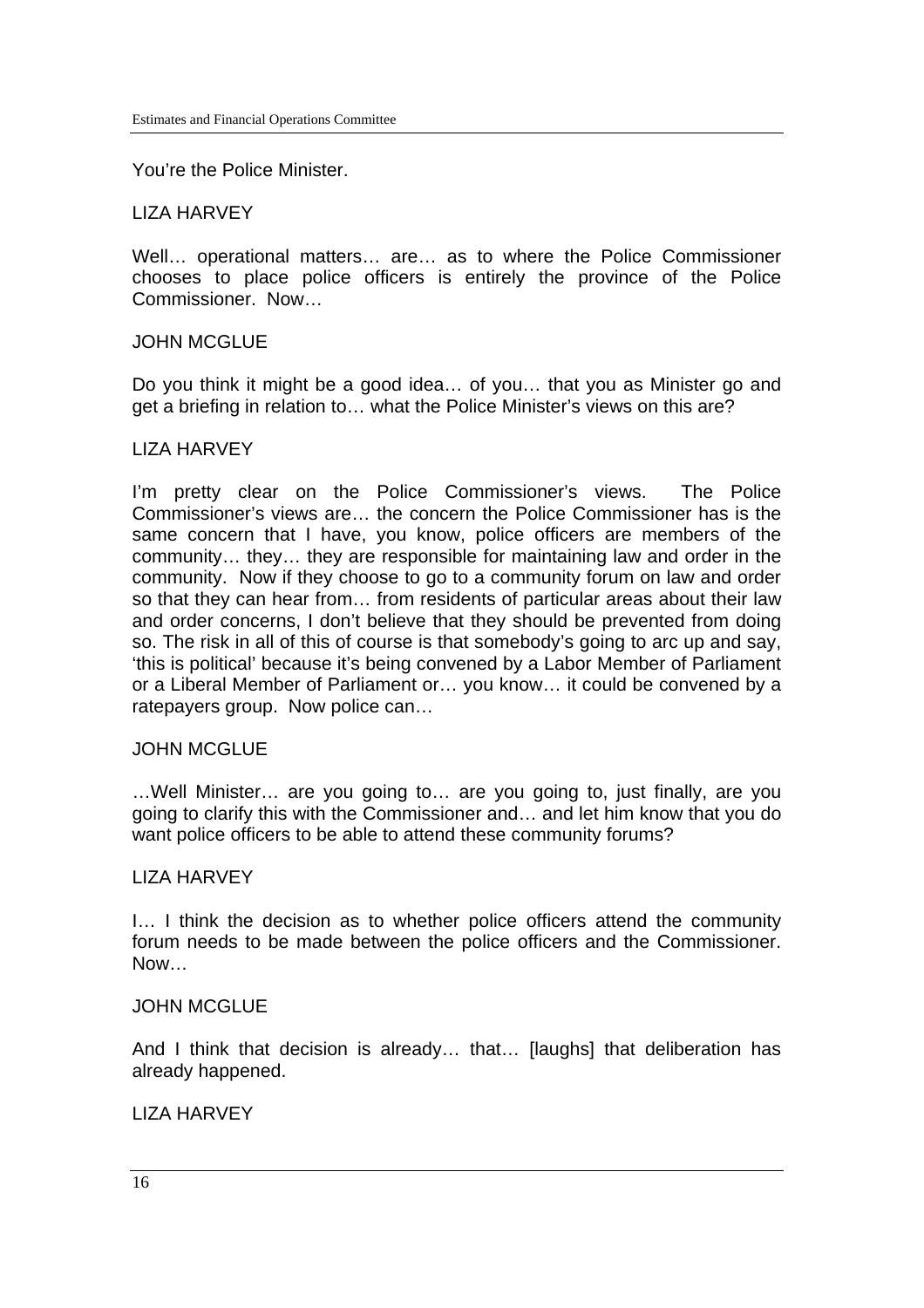You're the Police Minister.

#### LIZA HARVEY

Well… operational matters… are… as to where the Police Commissioner chooses to place police officers is entirely the province of the Police Commissioner. Now…

#### JOHN MCGLUE

Do you think it might be a good idea… of you… that you as Minister go and get a briefing in relation to… what the Police Minister's views on this are?

#### LIZA HARVEY

I'm pretty clear on the Police Commissioner's views. The Police Commissioner's views are… the concern the Police Commissioner has is the same concern that I have, you know, police officers are members of the community… they… they are responsible for maintaining law and order in the community. Now if they choose to go to a community forum on law and order so that they can hear from… from residents of particular areas about their law and order concerns, I don't believe that they should be prevented from doing so. The risk in all of this of course is that somebody's going to arc up and say, 'this is political' because it's being convened by a Labor Member of Parliament or a Liberal Member of Parliament or… you know… it could be convened by a ratepayers group. Now police can…

#### JOHN MCGLUE

…Well Minister… are you going to… are you going to, just finally, are you going to clarify this with the Commissioner and… and let him know that you do want police officers to be able to attend these community forums?

#### LIZA HARVEY

I… I think the decision as to whether police officers attend the community forum needs to be made between the police officers and the Commissioner. Now…

#### JOHN MCGLUE

And I think that decision is already... that... Ilaughsl that deliberation has already happened.

# **LIZA HARVEY**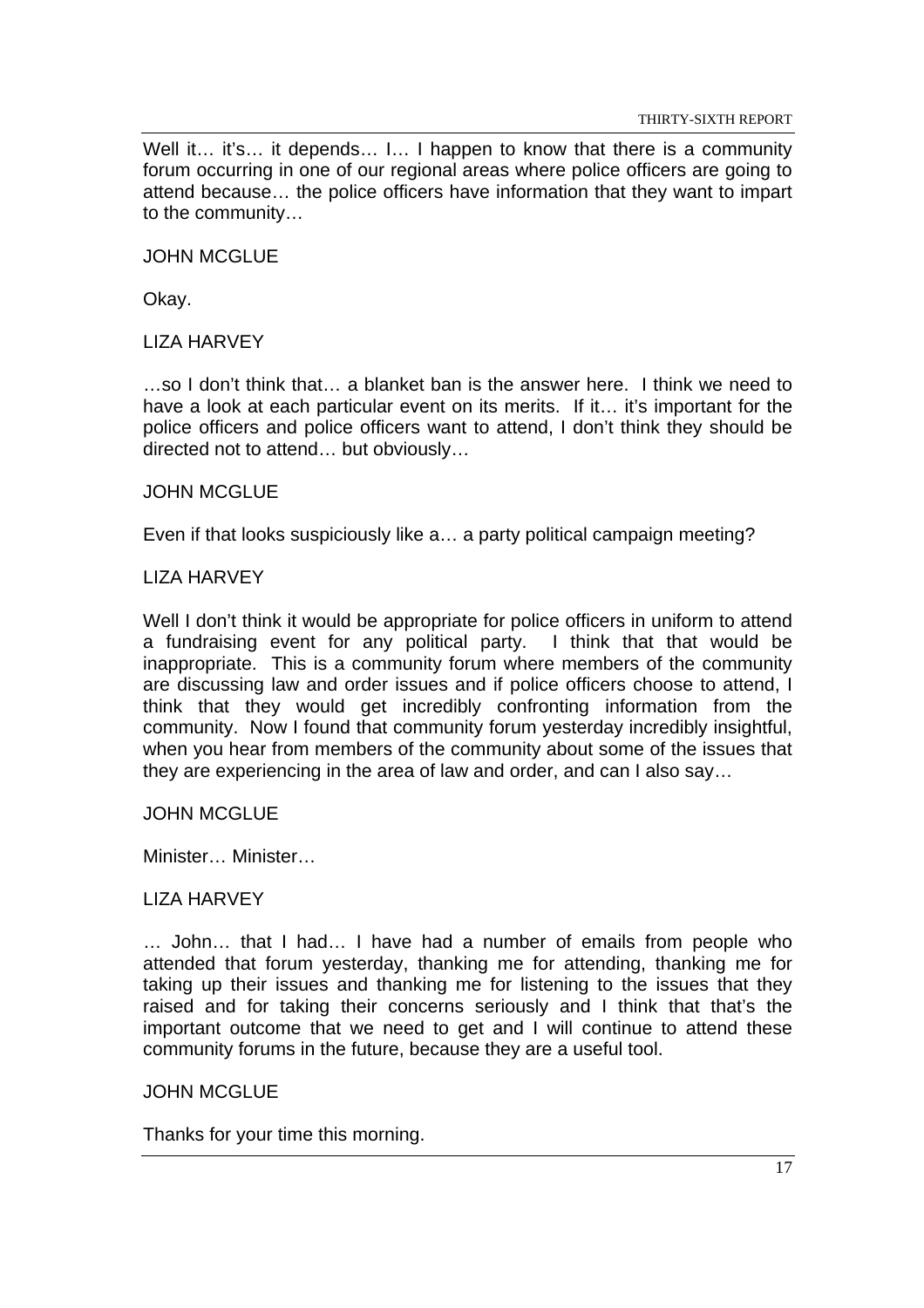Well it... it's... it depends... I... I happen to know that there is a community forum occurring in one of our regional areas where police officers are going to attend because… the police officers have information that they want to impart to the community…

JOHN MCGLUE

Okay.

LIZA HARVEY

…so I don't think that… a blanket ban is the answer here. I think we need to have a look at each particular event on its merits. If it... it's important for the police officers and police officers want to attend, I don't think they should be directed not to attend… but obviously…

#### JOHN MCGLUE

Even if that looks suspiciously like a… a party political campaign meeting?

#### LIZA HARVEY

Well I don't think it would be appropriate for police officers in uniform to attend a fundraising event for any political party. I think that that would be inappropriate. This is a community forum where members of the community are discussing law and order issues and if police officers choose to attend, I think that they would get incredibly confronting information from the community. Now I found that community forum yesterday incredibly insightful, when you hear from members of the community about some of the issues that they are experiencing in the area of law and order, and can I also say…

#### JOHN MCGLUE

Minister… Minister…

#### LIZA HARVEY

… John… that I had… I have had a number of emails from people who attended that forum yesterday, thanking me for attending, thanking me for taking up their issues and thanking me for listening to the issues that they raised and for taking their concerns seriously and I think that that's the important outcome that we need to get and I will continue to attend these community forums in the future, because they are a useful tool.

#### JOHN MCGLUE

Thanks for your time this morning.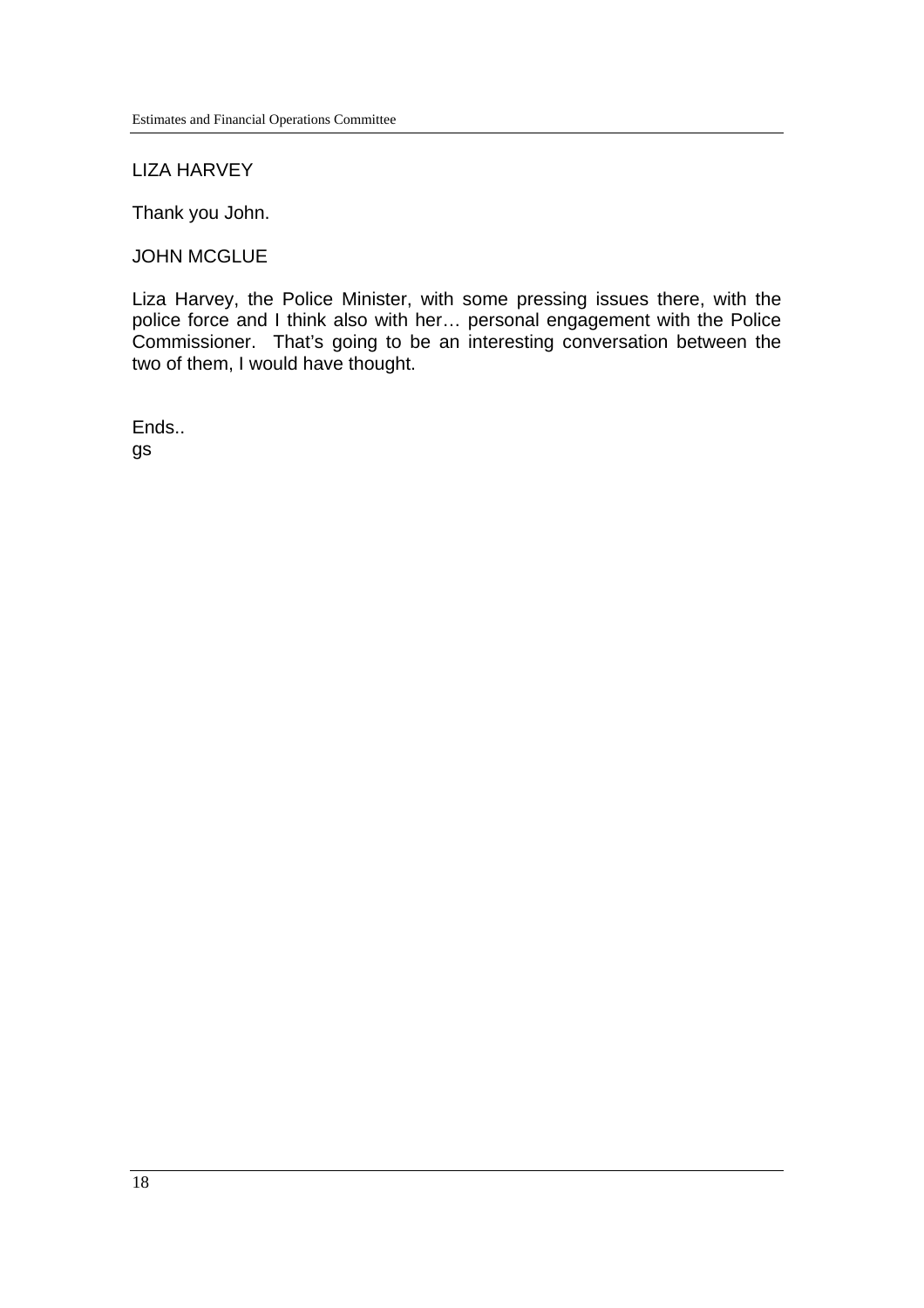## LIZA HARVEY

Thank you John.

#### JOHN MCGLUE

Liza Harvey, the Police Minister, with some pressing issues there, with the police force and I think also with her… personal engagement with the Police Commissioner. That's going to be an interesting conversation between the two of them, I would have thought.

Ends.. gs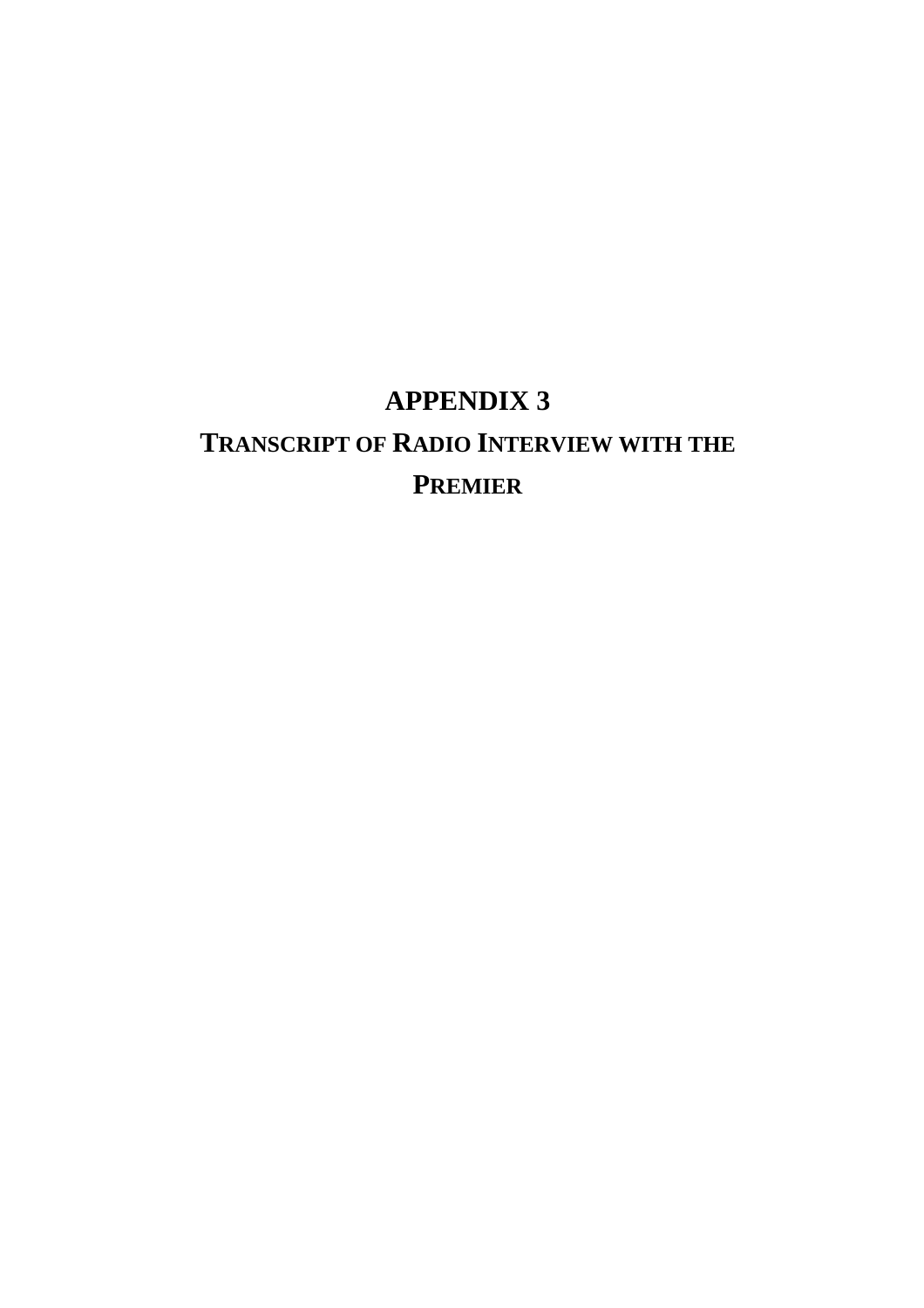# **APPENDIX 3 TRANSCRIPT OF RADIO INTERVIEW WITH THE PREMIER**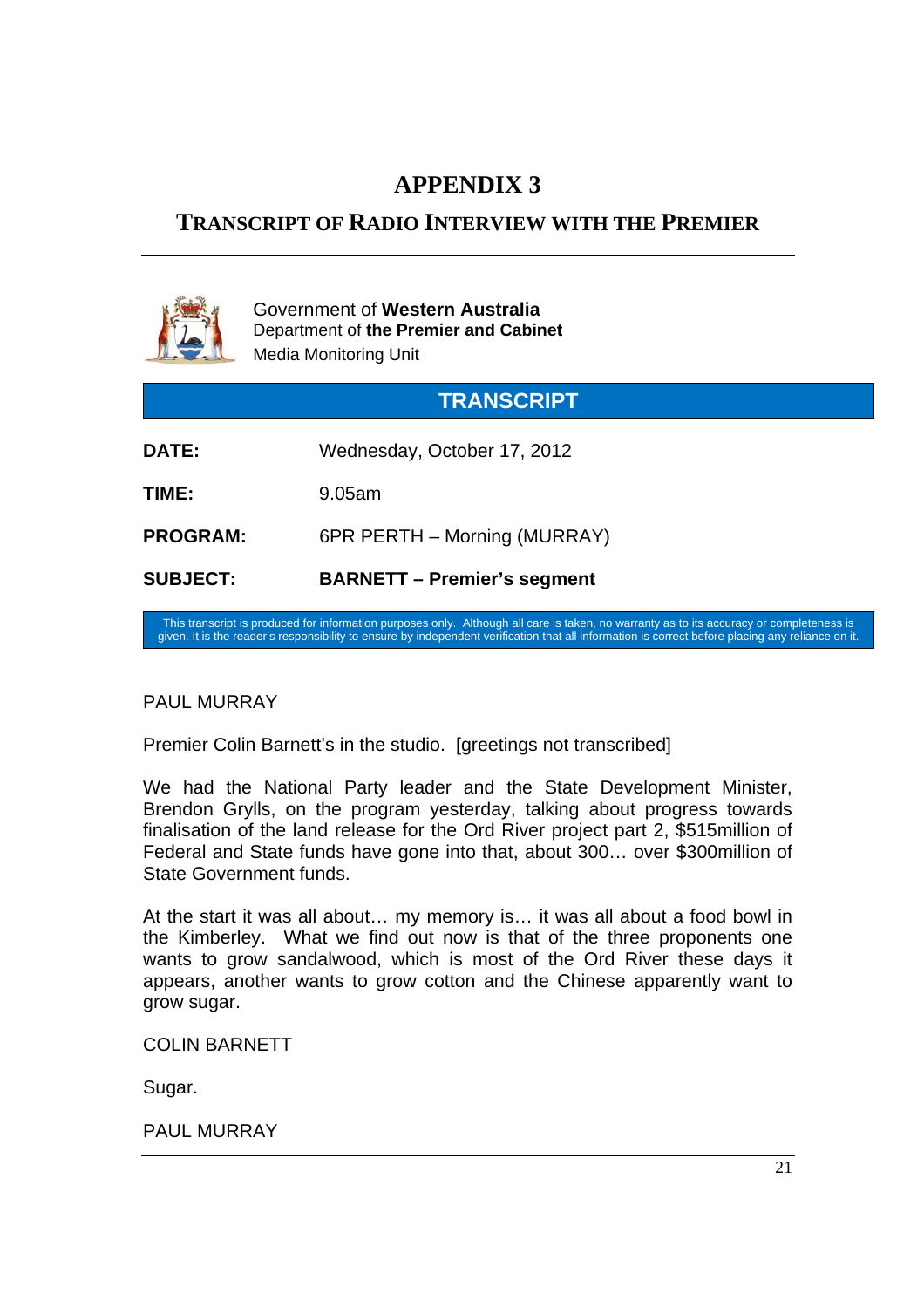# **APPENDIX 3**

# **TRANSCRIPT OF RADIO INTERVIEW WITH THE PREMIER**



Government of **Western Australia** Department of **the Premier and Cabinet** Media Monitoring Unit

| <b>TRANSCRIPT</b> |                                    |  |
|-------------------|------------------------------------|--|
| <b>DATE:</b>      | Wednesday, October 17, 2012        |  |
| TIME:             | 9.05am                             |  |
| <b>PROGRAM:</b>   | 6PR PERTH – Morning (MURRAY)       |  |
| <b>SUBJECT:</b>   | <b>BARNETT - Premier's segment</b> |  |

This transcript is produced for information purposes only. Although all care is taken, no warranty as to its accuracy or completeness is given. It is the reader's responsibility to ensure by independent verification that all information is correct before placing any reliance on it.

# PAUL MURRAY

Premier Colin Barnett's in the studio. [greetings not transcribed]

We had the National Party leader and the State Development Minister, Brendon Grylls, on the program yesterday, talking about progress towards finalisation of the land release for the Ord River project part 2, \$515million of Federal and State funds have gone into that, about 300… over \$300million of State Government funds.

At the start it was all about… my memory is… it was all about a food bowl in the Kimberley. What we find out now is that of the three proponents one wants to grow sandalwood, which is most of the Ord River these days it appears, another wants to grow cotton and the Chinese apparently want to grow sugar.

COLIN BARNETT

Sugar.

PAUL MURRAY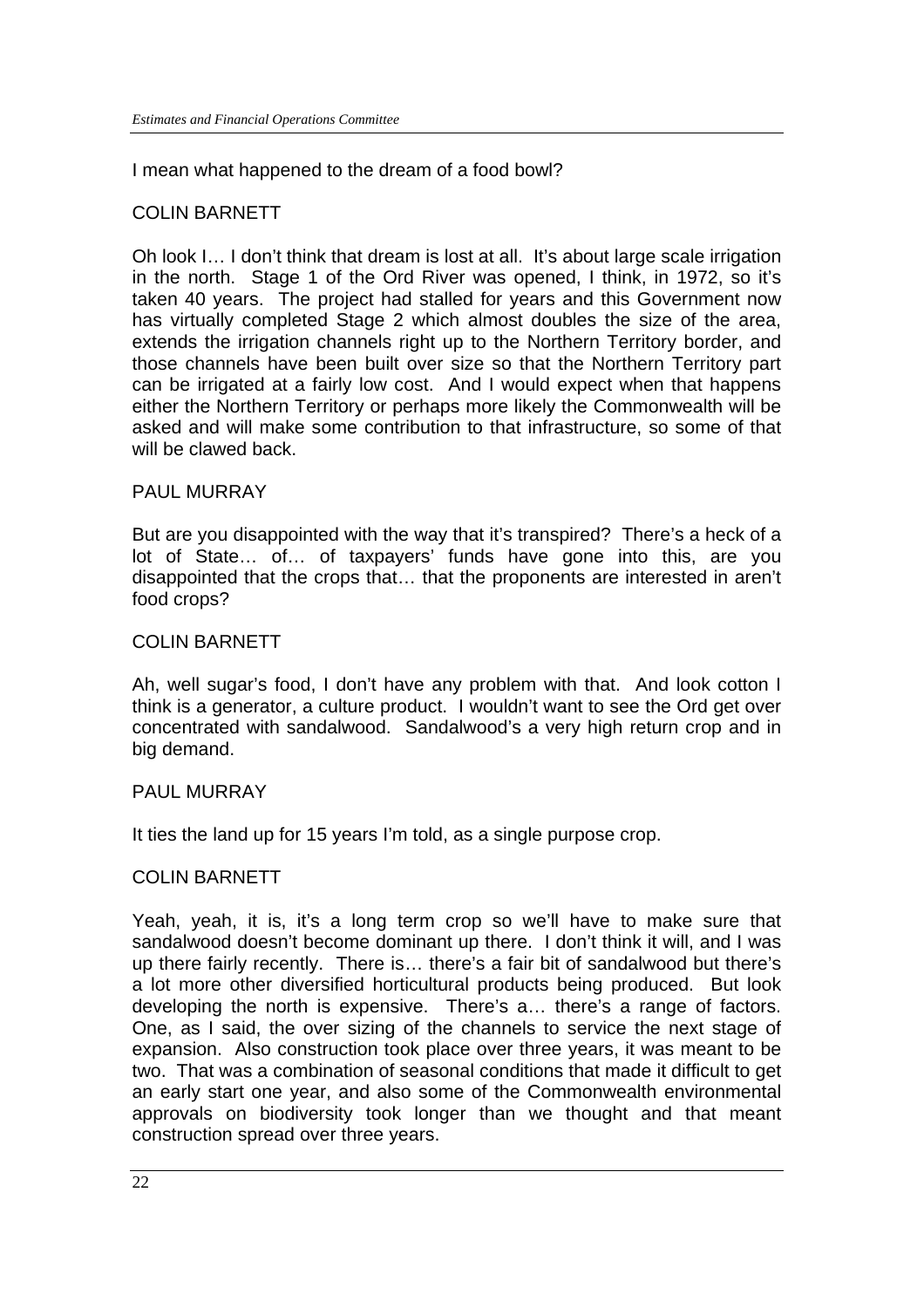I mean what happened to the dream of a food bowl?

# COLIN BARNETT

Oh look I… I don't think that dream is lost at all. It's about large scale irrigation in the north. Stage 1 of the Ord River was opened, I think, in 1972, so it's taken 40 years. The project had stalled for years and this Government now has virtually completed Stage 2 which almost doubles the size of the area, extends the irrigation channels right up to the Northern Territory border, and those channels have been built over size so that the Northern Territory part can be irrigated at a fairly low cost. And I would expect when that happens either the Northern Territory or perhaps more likely the Commonwealth will be asked and will make some contribution to that infrastructure, so some of that will be clawed back.

# PAUL MURRAY

But are you disappointed with the way that it's transpired? There's a heck of a lot of State… of… of taxpayers' funds have gone into this, are you disappointed that the crops that… that the proponents are interested in aren't food crops?

# COLIN BARNETT

Ah, well sugar's food, I don't have any problem with that. And look cotton I think is a generator, a culture product. I wouldn't want to see the Ord get over concentrated with sandalwood. Sandalwood's a very high return crop and in big demand.

# PAUL MURRAY

It ties the land up for 15 years I'm told, as a single purpose crop.

# COLIN BARNETT

Yeah, yeah, it is, it's a long term crop so we'll have to make sure that sandalwood doesn't become dominant up there. I don't think it will, and I was up there fairly recently. There is… there's a fair bit of sandalwood but there's a lot more other diversified horticultural products being produced. But look developing the north is expensive. There's a… there's a range of factors. One, as I said, the over sizing of the channels to service the next stage of expansion. Also construction took place over three years, it was meant to be two. That was a combination of seasonal conditions that made it difficult to get an early start one year, and also some of the Commonwealth environmental approvals on biodiversity took longer than we thought and that meant construction spread over three years.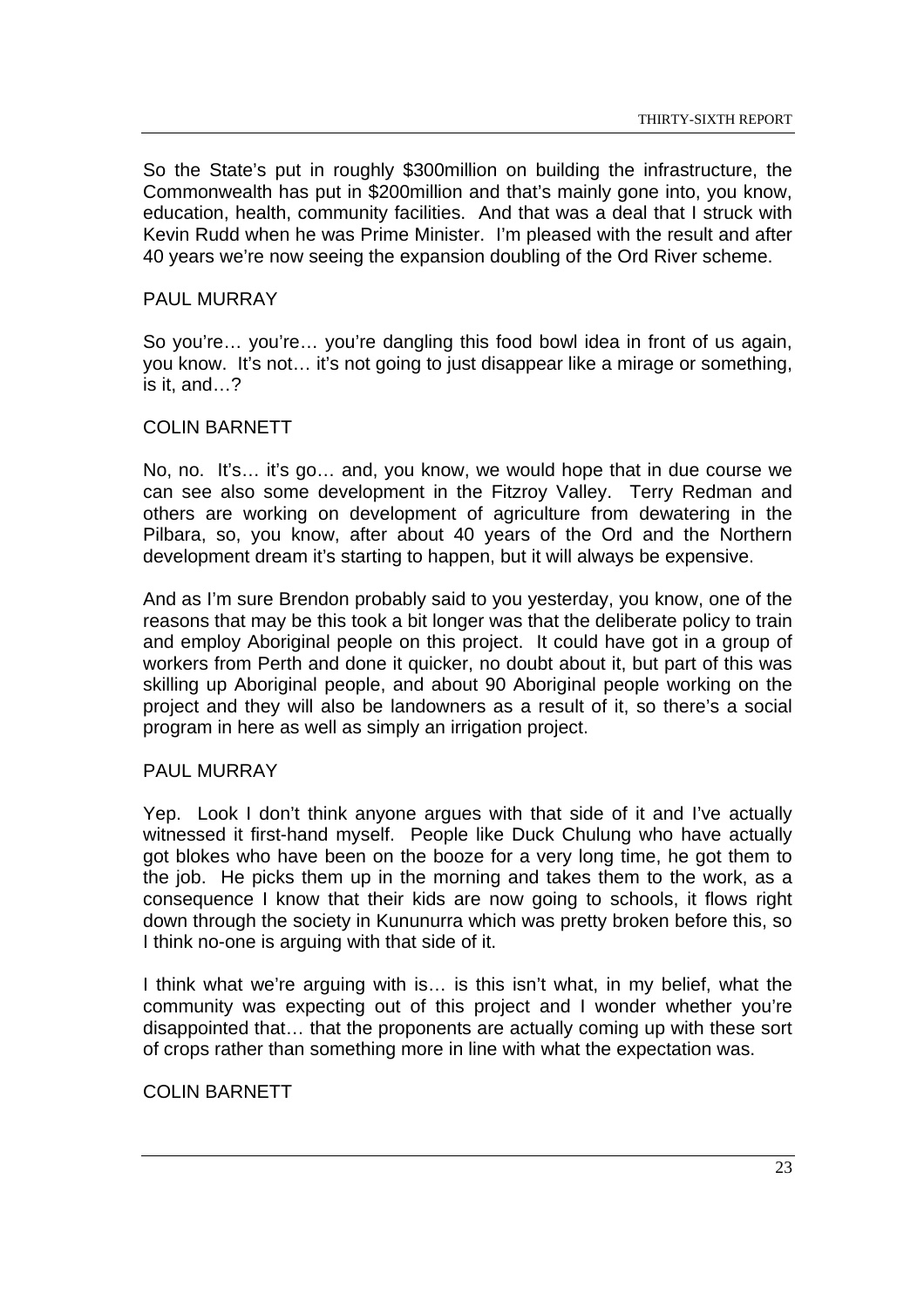So the State's put in roughly \$300million on building the infrastructure, the Commonwealth has put in \$200million and that's mainly gone into, you know, education, health, community facilities. And that was a deal that I struck with Kevin Rudd when he was Prime Minister. I'm pleased with the result and after 40 years we're now seeing the expansion doubling of the Ord River scheme.

## PAUL MURRAY

So you're… you're… you're dangling this food bowl idea in front of us again, you know. It's not… it's not going to just disappear like a mirage or something, is it, and…?

#### COLIN BARNETT

No, no. It's… it's go… and, you know, we would hope that in due course we can see also some development in the Fitzroy Valley. Terry Redman and others are working on development of agriculture from dewatering in the Pilbara, so, you know, after about 40 years of the Ord and the Northern development dream it's starting to happen, but it will always be expensive.

And as I'm sure Brendon probably said to you yesterday, you know, one of the reasons that may be this took a bit longer was that the deliberate policy to train and employ Aboriginal people on this project. It could have got in a group of workers from Perth and done it quicker, no doubt about it, but part of this was skilling up Aboriginal people, and about 90 Aboriginal people working on the project and they will also be landowners as a result of it, so there's a social program in here as well as simply an irrigation project.

#### PAUL MURRAY

Yep. Look I don't think anyone argues with that side of it and I've actually witnessed it first-hand myself. People like Duck Chulung who have actually got blokes who have been on the booze for a very long time, he got them to the job. He picks them up in the morning and takes them to the work, as a consequence I know that their kids are now going to schools, it flows right down through the society in Kununurra which was pretty broken before this, so I think no-one is arguing with that side of it.

I think what we're arguing with is… is this isn't what, in my belief, what the community was expecting out of this project and I wonder whether you're disappointed that… that the proponents are actually coming up with these sort of crops rather than something more in line with what the expectation was.

#### COLIN BARNETT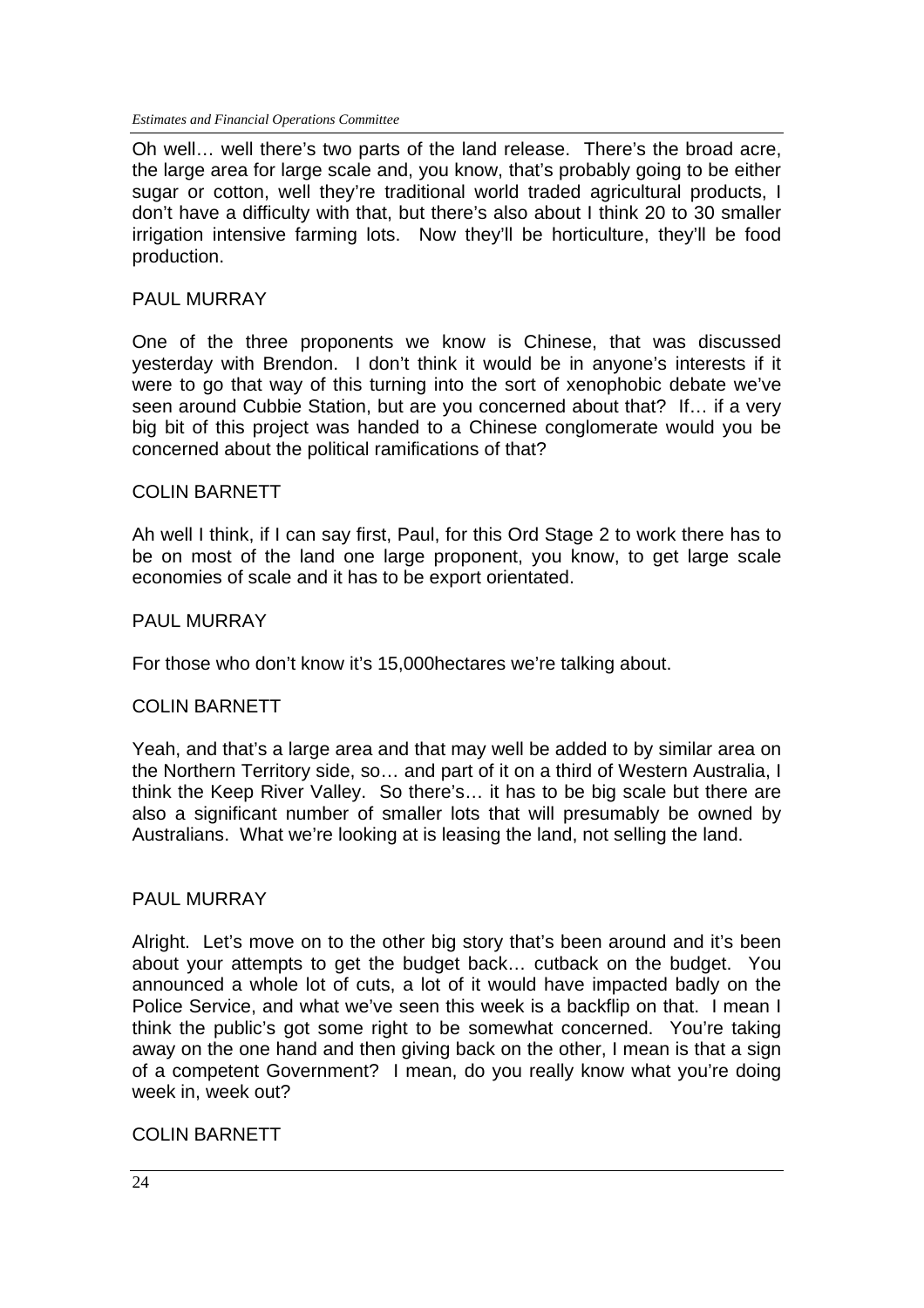*Estimates and Financial Operations Committee*

Oh well… well there's two parts of the land release. There's the broad acre, the large area for large scale and, you know, that's probably going to be either sugar or cotton, well they're traditional world traded agricultural products, I don't have a difficulty with that, but there's also about I think 20 to 30 smaller irrigation intensive farming lots. Now they'll be horticulture, they'll be food production.

#### PAUL MURRAY

One of the three proponents we know is Chinese, that was discussed yesterday with Brendon. I don't think it would be in anyone's interests if it were to go that way of this turning into the sort of xenophobic debate we've seen around Cubbie Station, but are you concerned about that? If... if a very big bit of this project was handed to a Chinese conglomerate would you be concerned about the political ramifications of that?

#### COLIN BARNETT

Ah well I think, if I can say first, Paul, for this Ord Stage 2 to work there has to be on most of the land one large proponent, you know, to get large scale economies of scale and it has to be export orientated.

#### PAUL MURRAY

For those who don't know it's 15,000hectares we're talking about.

#### COLIN BARNETT

Yeah, and that's a large area and that may well be added to by similar area on the Northern Territory side, so… and part of it on a third of Western Australia, I think the Keep River Valley. So there's… it has to be big scale but there are also a significant number of smaller lots that will presumably be owned by Australians. What we're looking at is leasing the land, not selling the land.

#### PAUL MURRAY

Alright. Let's move on to the other big story that's been around and it's been about your attempts to get the budget back… cutback on the budget. You announced a whole lot of cuts, a lot of it would have impacted badly on the Police Service, and what we've seen this week is a backflip on that. I mean I think the public's got some right to be somewhat concerned. You're taking away on the one hand and then giving back on the other. I mean is that a sign of a competent Government? I mean, do you really know what you're doing week in, week out?

#### COLIN BARNETT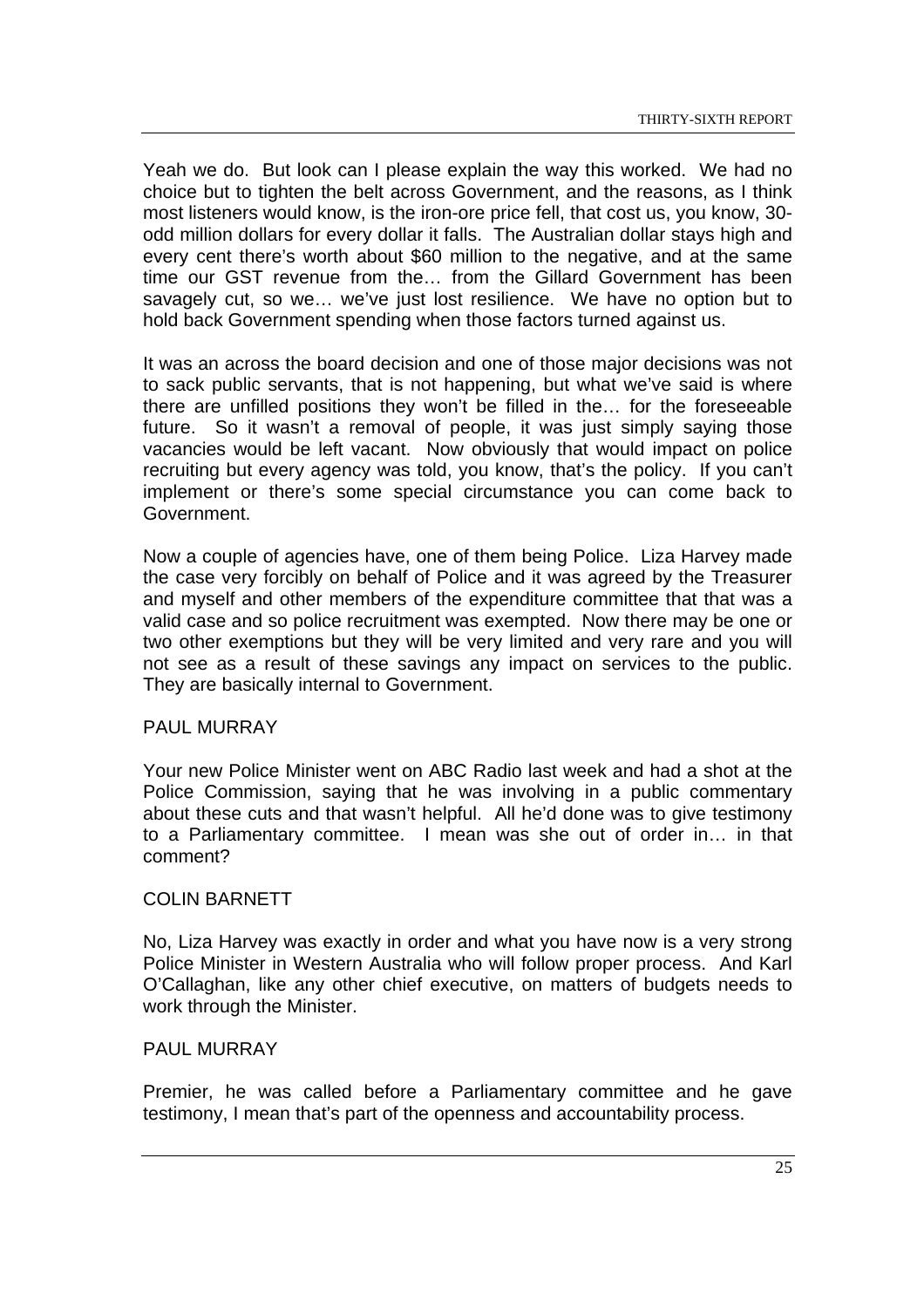Yeah we do. But look can I please explain the way this worked. We had no choice but to tighten the belt across Government, and the reasons, as I think most listeners would know, is the iron-ore price fell, that cost us, you know, 30 odd million dollars for every dollar it falls. The Australian dollar stays high and every cent there's worth about \$60 million to the negative, and at the same time our GST revenue from the… from the Gillard Government has been savagely cut, so we… we've just lost resilience. We have no option but to hold back Government spending when those factors turned against us.

It was an across the board decision and one of those major decisions was not to sack public servants, that is not happening, but what we've said is where there are unfilled positions they won't be filled in the… for the foreseeable future. So it wasn't a removal of people, it was just simply saying those vacancies would be left vacant. Now obviously that would impact on police recruiting but every agency was told, you know, that's the policy. If you can't implement or there's some special circumstance you can come back to Government.

Now a couple of agencies have, one of them being Police. Liza Harvey made the case very forcibly on behalf of Police and it was agreed by the Treasurer and myself and other members of the expenditure committee that that was a valid case and so police recruitment was exempted. Now there may be one or two other exemptions but they will be very limited and very rare and you will not see as a result of these savings any impact on services to the public. They are basically internal to Government.

## PAUL MURRAY

Your new Police Minister went on ABC Radio last week and had a shot at the Police Commission, saying that he was involving in a public commentary about these cuts and that wasn't helpful. All he'd done was to give testimony to a Parliamentary committee. I mean was she out of order in… in that comment?

# COLIN BARNETT

No, Liza Harvey was exactly in order and what you have now is a very strong Police Minister in Western Australia who will follow proper process. And Karl O'Callaghan, like any other chief executive, on matters of budgets needs to work through the Minister.

#### PAUL MURRAY

Premier, he was called before a Parliamentary committee and he gave testimony, I mean that's part of the openness and accountability process.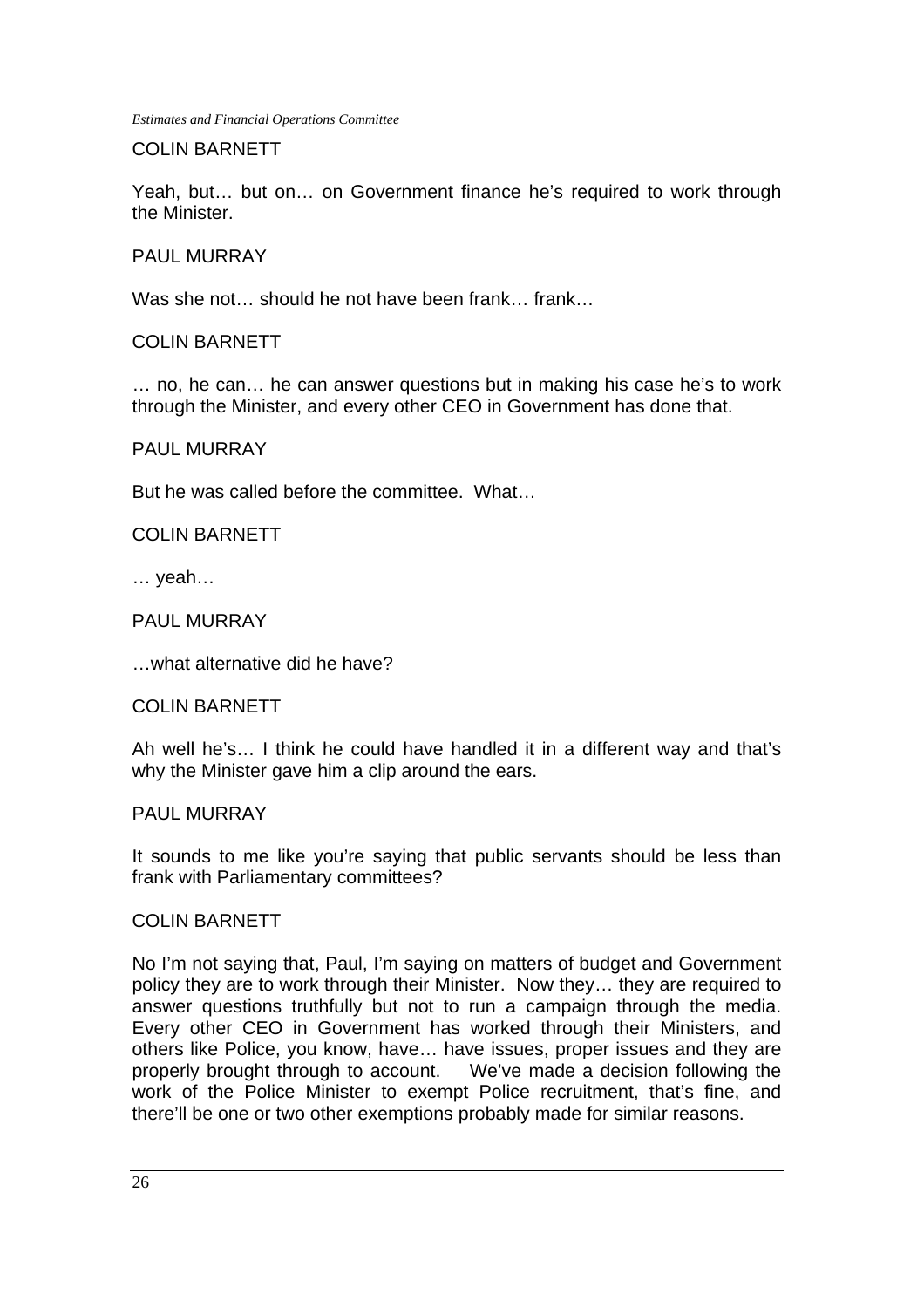*Estimates and Financial Operations Committee*

#### COLIN BARNETT

Yeah, but… but on… on Government finance he's required to work through the Minister.

# PAUL MURRAY

Was she not... should he not have been frank... frank...

COLIN BARNETT

… no, he can… he can answer questions but in making his case he's to work through the Minister, and every other CEO in Government has done that.

#### PAUL MURRAY

But he was called before the committee. What…

COLIN BARNETT

… yeah…

PAUL MURRAY

…what alternative did he have?

#### COLIN BARNETT

Ah well he's… I think he could have handled it in a different way and that's why the Minister gave him a clip around the ears.

#### PAUL MURRAY

It sounds to me like you're saying that public servants should be less than frank with Parliamentary committees?

#### COLIN BARNETT

No I'm not saying that, Paul, I'm saying on matters of budget and Government policy they are to work through their Minister. Now they… they are required to answer questions truthfully but not to run a campaign through the media. Every other CEO in Government has worked through their Ministers, and others like Police, you know, have… have issues, proper issues and they are properly brought through to account. We've made a decision following the work of the Police Minister to exempt Police recruitment, that's fine, and there'll be one or two other exemptions probably made for similar reasons.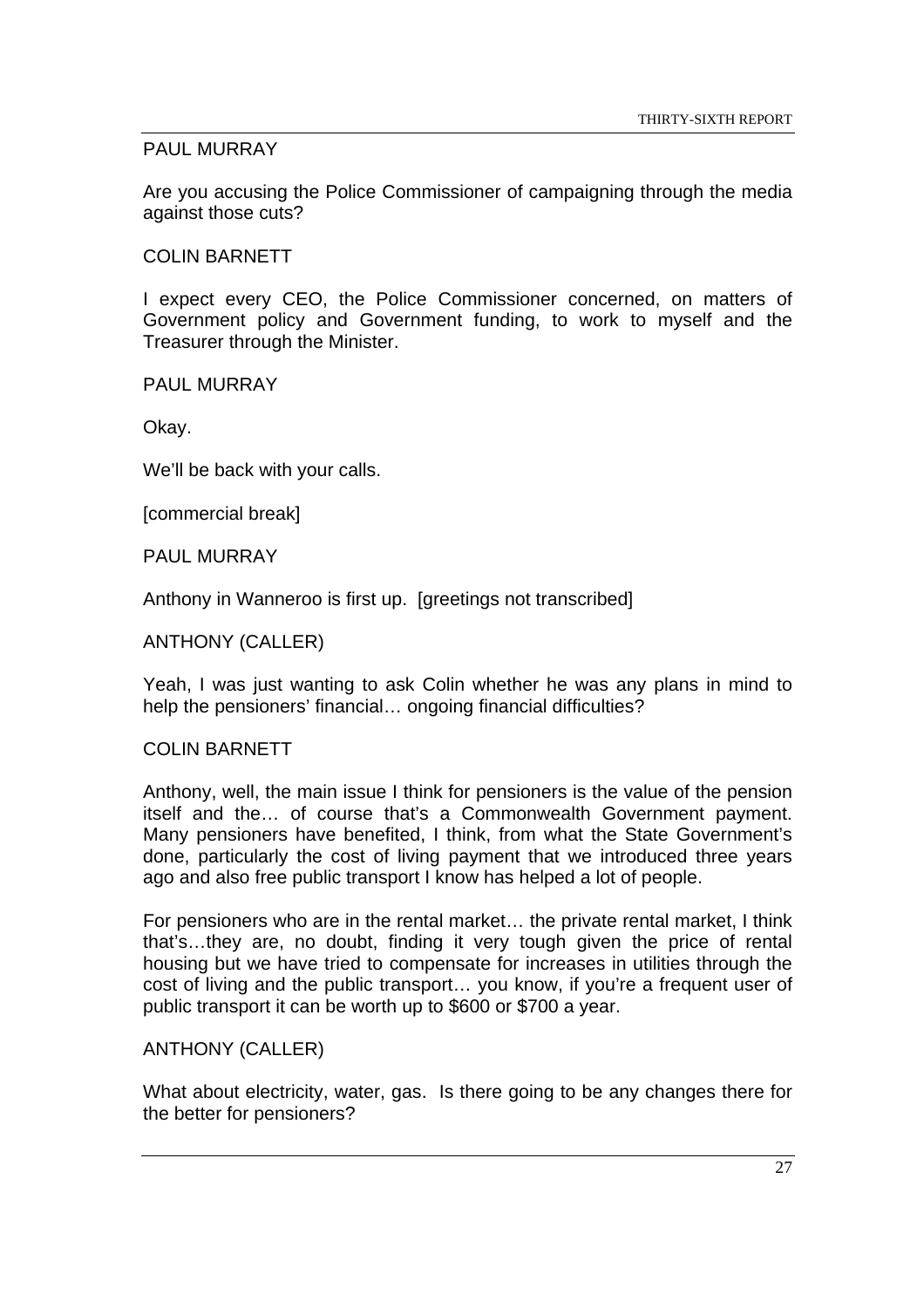# PAUL MURRAY

Are you accusing the Police Commissioner of campaigning through the media against those cuts?

## COLIN BARNETT

I expect every CEO, the Police Commissioner concerned, on matters of Government policy and Government funding, to work to myself and the Treasurer through the Minister.

PAUL MURRAY

Okay.

We'll be back with your calls.

[commercial break]

PAUL MURRAY

Anthony in Wanneroo is first up. [greetings not transcribed]

#### ANTHONY (CALLER)

Yeah, I was just wanting to ask Colin whether he was any plans in mind to help the pensioners' financial... ongoing financial difficulties?

#### COLIN BARNETT

Anthony, well, the main issue I think for pensioners is the value of the pension itself and the… of course that's a Commonwealth Government payment. Many pensioners have benefited, I think, from what the State Government's done, particularly the cost of living payment that we introduced three years ago and also free public transport I know has helped a lot of people.

For pensioners who are in the rental market… the private rental market, I think that's…they are, no doubt, finding it very tough given the price of rental housing but we have tried to compensate for increases in utilities through the cost of living and the public transport… you know, if you're a frequent user of public transport it can be worth up to \$600 or \$700 a year.

# ANTHONY (CALLER)

What about electricity, water, gas. Is there going to be any changes there for the better for pensioners?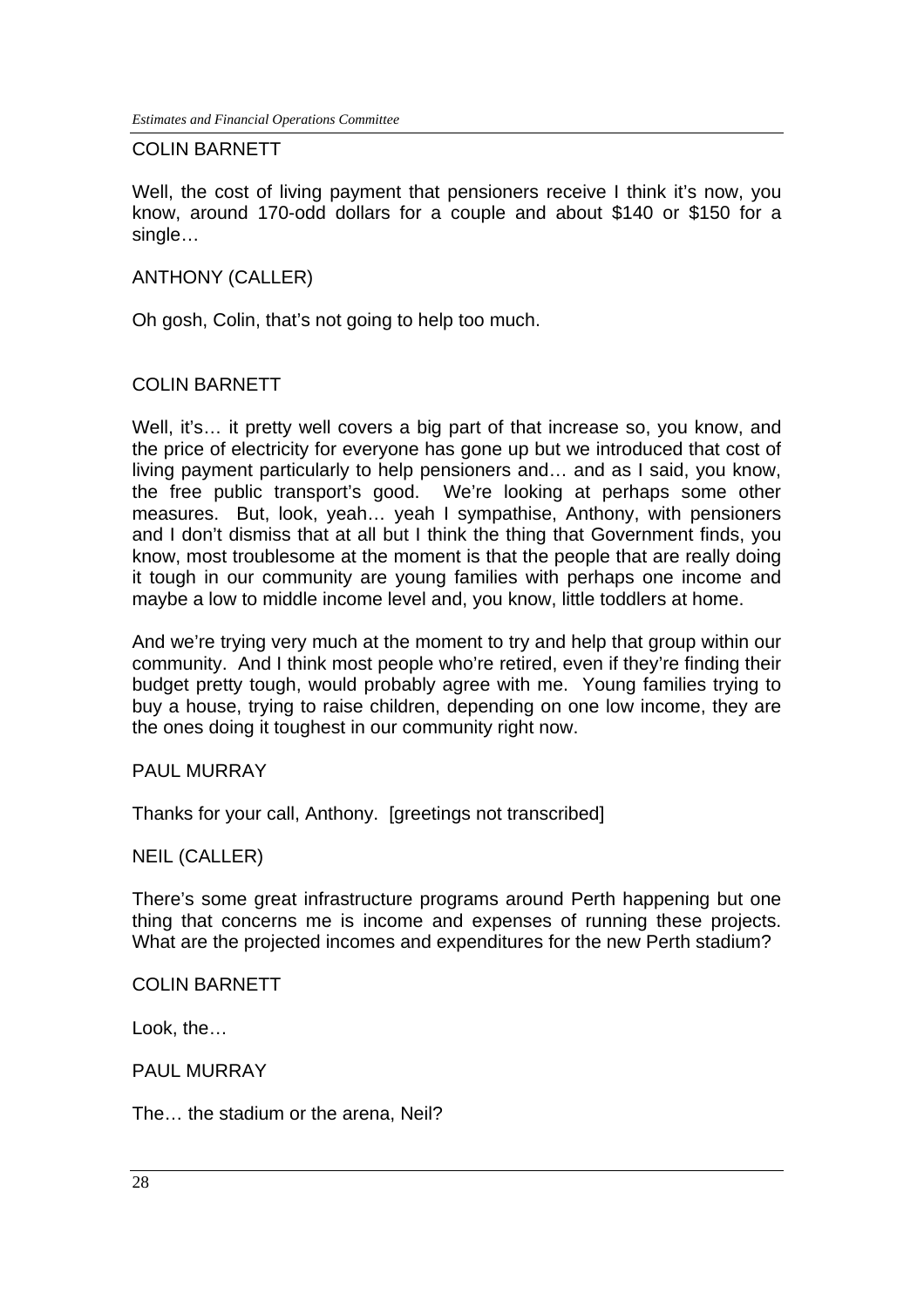#### COLIN BARNETT

Well, the cost of living payment that pensioners receive I think it's now, you know, around 170-odd dollars for a couple and about \$140 or \$150 for a single…

#### ANTHONY (CALLER)

Oh gosh, Colin, that's not going to help too much.

# COLIN BARNETT

Well, it's... it pretty well covers a big part of that increase so, you know, and the price of electricity for everyone has gone up but we introduced that cost of living payment particularly to help pensioners and… and as I said, you know, the free public transport's good. We're looking at perhaps some other measures. But, look, yeah… yeah I sympathise, Anthony, with pensioners and I don't dismiss that at all but I think the thing that Government finds, you know, most troublesome at the moment is that the people that are really doing it tough in our community are young families with perhaps one income and maybe a low to middle income level and, you know, little toddlers at home.

And we're trying very much at the moment to try and help that group within our community. And I think most people who're retired, even if they're finding their budget pretty tough, would probably agree with me. Young families trying to buy a house, trying to raise children, depending on one low income, they are the ones doing it toughest in our community right now.

#### PAUL MURRAY

Thanks for your call, Anthony. [greetings not transcribed]

#### NEIL (CALLER)

There's some great infrastructure programs around Perth happening but one thing that concerns me is income and expenses of running these projects. What are the projected incomes and expenditures for the new Perth stadium?

#### COLIN BARNETT

Look, the…

#### PAUL MURRAY

The… the stadium or the arena, Neil?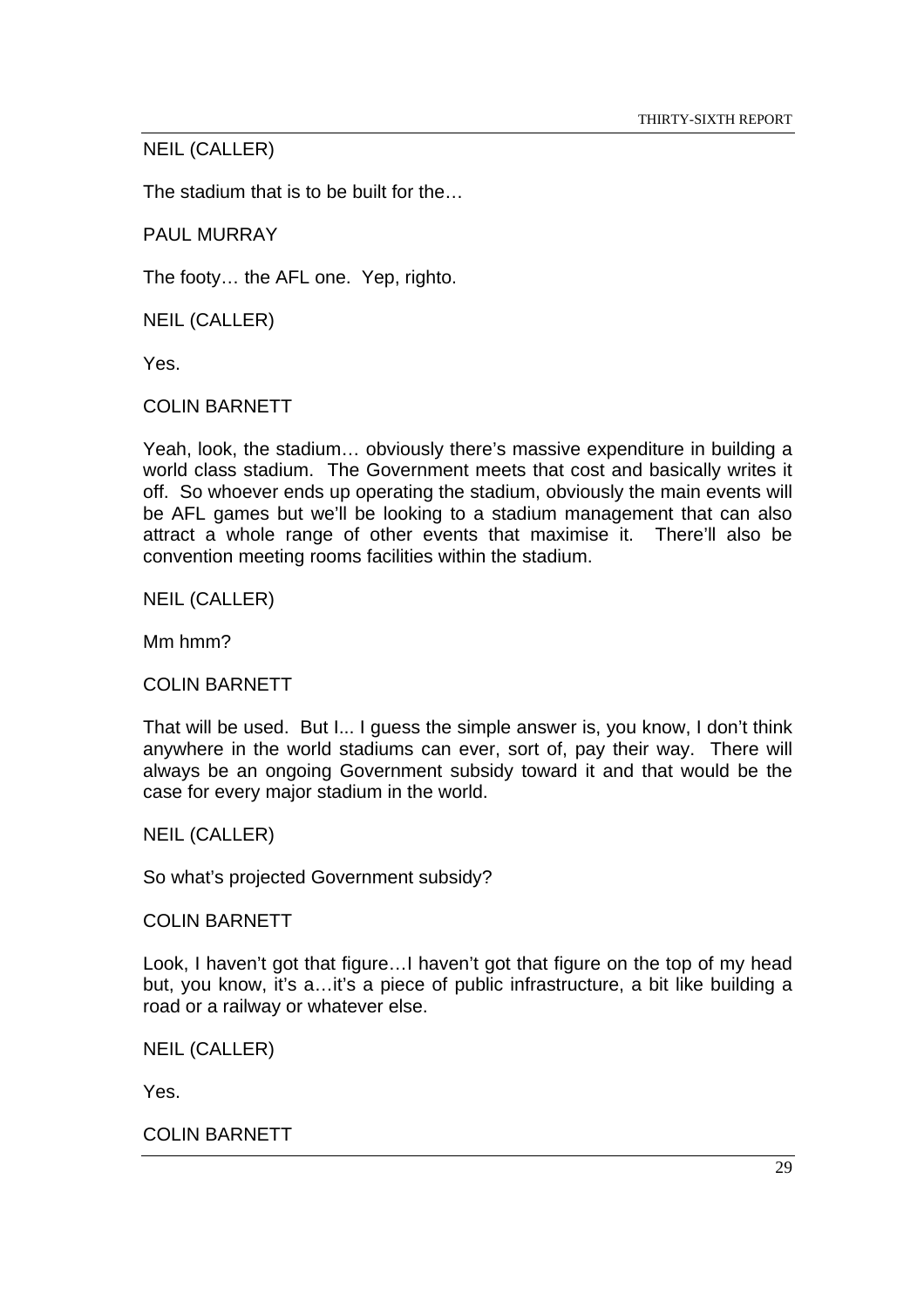# NEIL (CALLER)

The stadium that is to be built for the…

PAUL MURRAY

The footy… the AFL one. Yep, righto.

NEIL (CALLER)

Yes.

COLIN BARNETT

Yeah, look, the stadium… obviously there's massive expenditure in building a world class stadium. The Government meets that cost and basically writes it off. So whoever ends up operating the stadium, obviously the main events will be AFL games but we'll be looking to a stadium management that can also attract a whole range of other events that maximise it. There'll also be convention meeting rooms facilities within the stadium.

NEIL (CALLER)

Mm hmm?

COLIN BARNETT

That will be used. But I... I guess the simple answer is, you know, I don't think anywhere in the world stadiums can ever, sort of, pay their way. There will always be an ongoing Government subsidy toward it and that would be the case for every major stadium in the world.

# NEIL (CALLER)

So what's projected Government subsidy?

COLIN BARNETT

Look, I haven't got that figure…I haven't got that figure on the top of my head but, you know, it's a…it's a piece of public infrastructure, a bit like building a road or a railway or whatever else.

NEIL (CALLER)

Yes.

COLIN BARNETT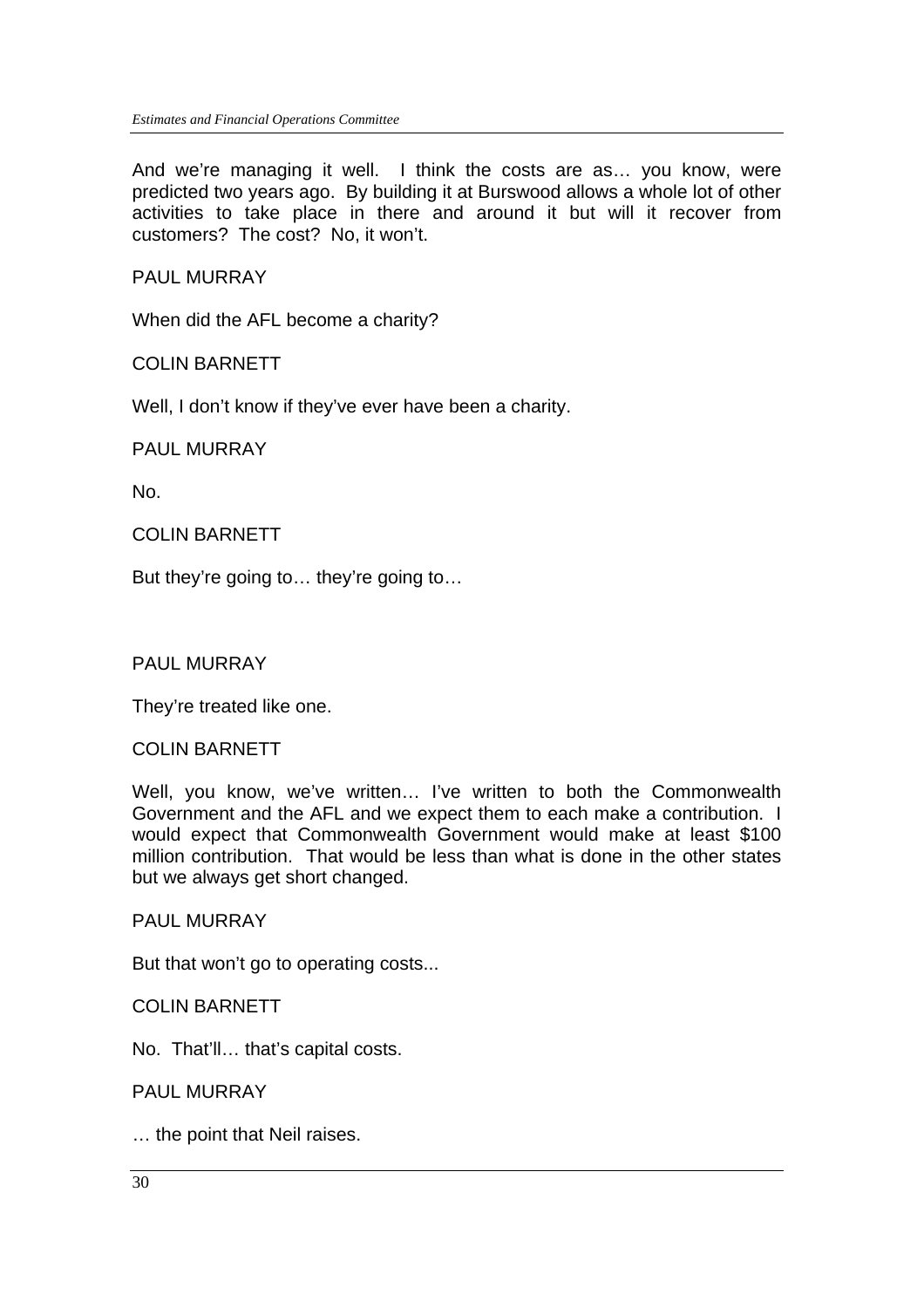And we're managing it well. I think the costs are as… you know, were predicted two years ago. By building it at Burswood allows a whole lot of other activities to take place in there and around it but will it recover from customers? The cost? No, it won't.

PAUL MURRAY

When did the AFL become a charity?

#### COLIN BARNETT

Well, I don't know if they've ever have been a charity.

#### PAUL MURRAY

No.

#### COLIN BARNETT

But they're going to… they're going to…

#### PAUL MURRAY

They're treated like one.

#### COLIN BARNETT

Well, you know, we've written… I've written to both the Commonwealth Government and the AFL and we expect them to each make a contribution. I would expect that Commonwealth Government would make at least \$100 million contribution. That would be less than what is done in the other states but we always get short changed.

#### PAUL MURRAY

But that won't go to operating costs...

#### COLIN BARNETT

No. That'll… that's capital costs.

#### PAUL MURRAY

… the point that Neil raises.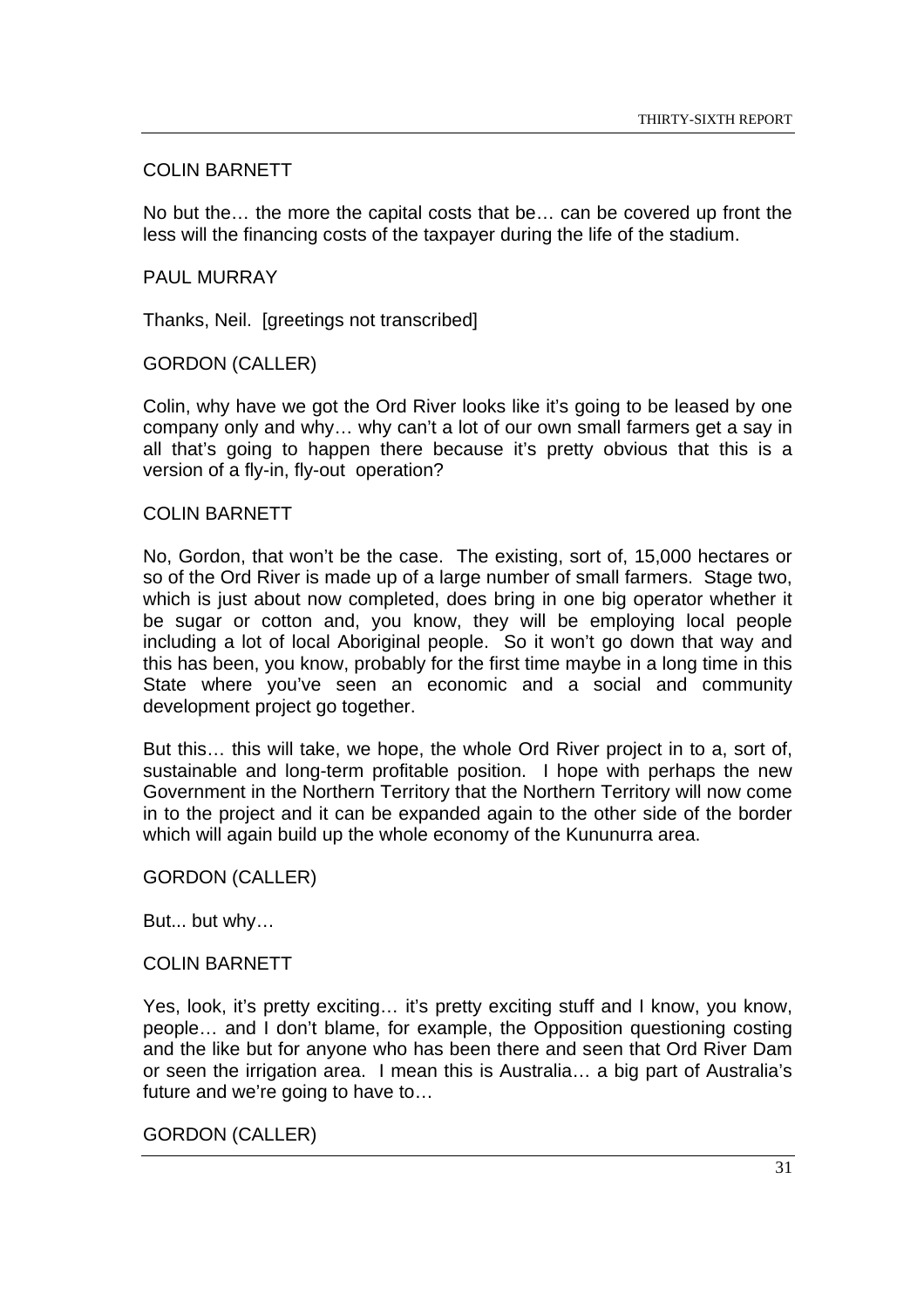# COLIN BARNETT

No but the… the more the capital costs that be… can be covered up front the less will the financing costs of the taxpayer during the life of the stadium.

## PAUL MURRAY

Thanks, Neil. [greetings not transcribed]

#### GORDON (CALLER)

Colin, why have we got the Ord River looks like it's going to be leased by one company only and why… why can't a lot of our own small farmers get a say in all that's going to happen there because it's pretty obvious that this is a version of a fly-in, fly-out operation?

#### COLIN BARNETT

No, Gordon, that won't be the case. The existing, sort of, 15,000 hectares or so of the Ord River is made up of a large number of small farmers. Stage two, which is just about now completed, does bring in one big operator whether it be sugar or cotton and, you know, they will be employing local people including a lot of local Aboriginal people. So it won't go down that way and this has been, you know, probably for the first time maybe in a long time in this State where you've seen an economic and a social and community development project go together.

But this… this will take, we hope, the whole Ord River project in to a, sort of, sustainable and long-term profitable position. I hope with perhaps the new Government in the Northern Territory that the Northern Territory will now come in to the project and it can be expanded again to the other side of the border which will again build up the whole economy of the Kununurra area.

#### GORDON (CALLER)

But... but why…

#### COLIN BARNETT

Yes, look, it's pretty exciting… it's pretty exciting stuff and I know, you know, people… and I don't blame, for example, the Opposition questioning costing and the like but for anyone who has been there and seen that Ord River Dam or seen the irrigation area. I mean this is Australia… a big part of Australia's future and we're going to have to…

#### GORDON (CALLER)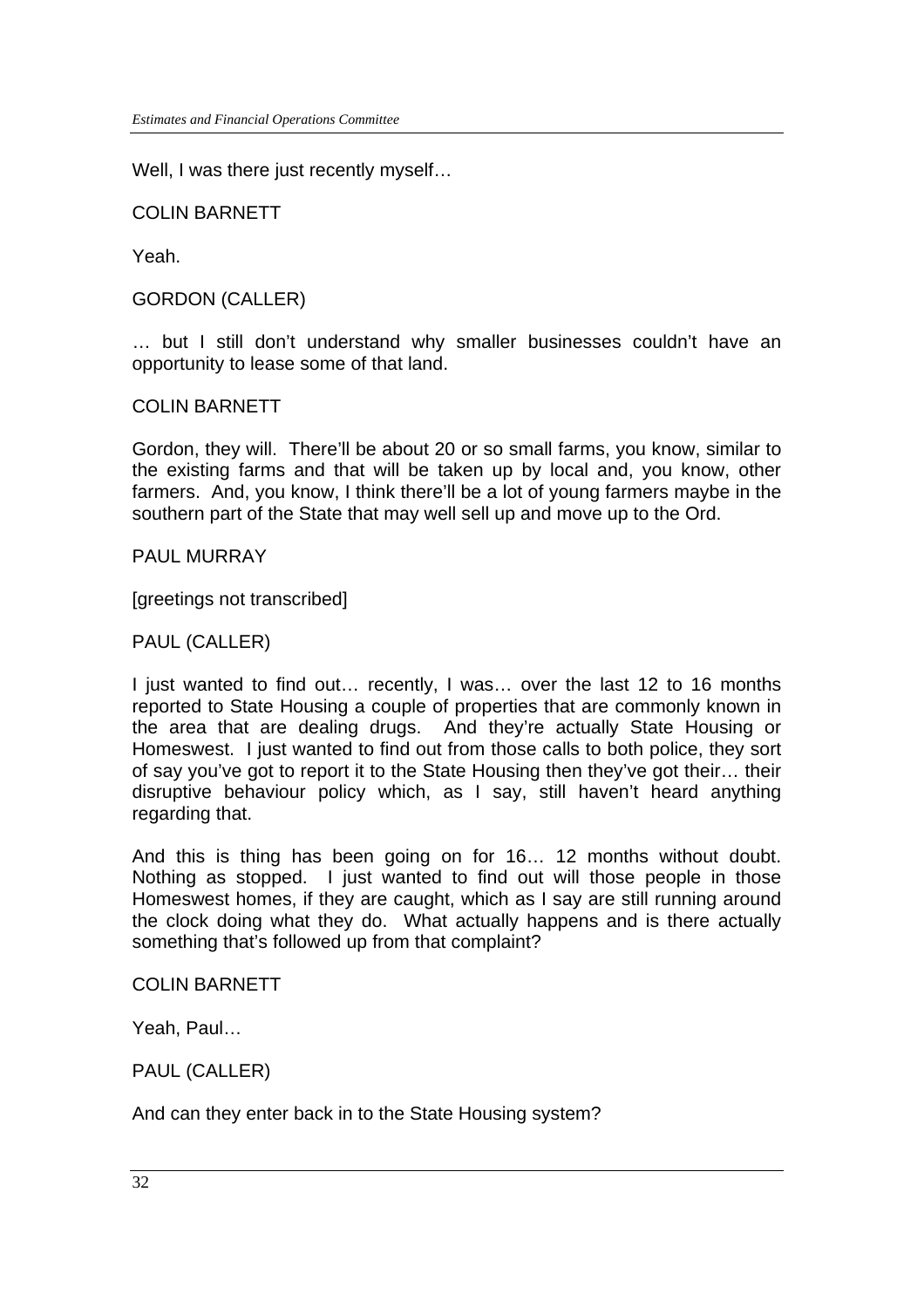Well, I was there just recently myself...

COLIN BARNETT

Yeah.

GORDON (CALLER)

… but I still don't understand why smaller businesses couldn't have an opportunity to lease some of that land.

COLIN BARNETT

Gordon, they will. There'll be about 20 or so small farms, you know, similar to the existing farms and that will be taken up by local and, you know, other farmers. And, you know, I think there'll be a lot of young farmers maybe in the southern part of the State that may well sell up and move up to the Ord.

PAUL MURRAY

[greetings not transcribed]

#### PAUL (CALLER)

I just wanted to find out… recently, I was… over the last 12 to 16 months reported to State Housing a couple of properties that are commonly known in the area that are dealing drugs. And they're actually State Housing or Homeswest. I just wanted to find out from those calls to both police, they sort of say you've got to report it to the State Housing then they've got their… their disruptive behaviour policy which, as I say, still haven't heard anything regarding that.

And this is thing has been going on for 16… 12 months without doubt. Nothing as stopped. I just wanted to find out will those people in those Homeswest homes, if they are caught, which as I say are still running around the clock doing what they do. What actually happens and is there actually something that's followed up from that complaint?

COLIN BARNETT

Yeah, Paul…

PAUL (CALLER)

And can they enter back in to the State Housing system?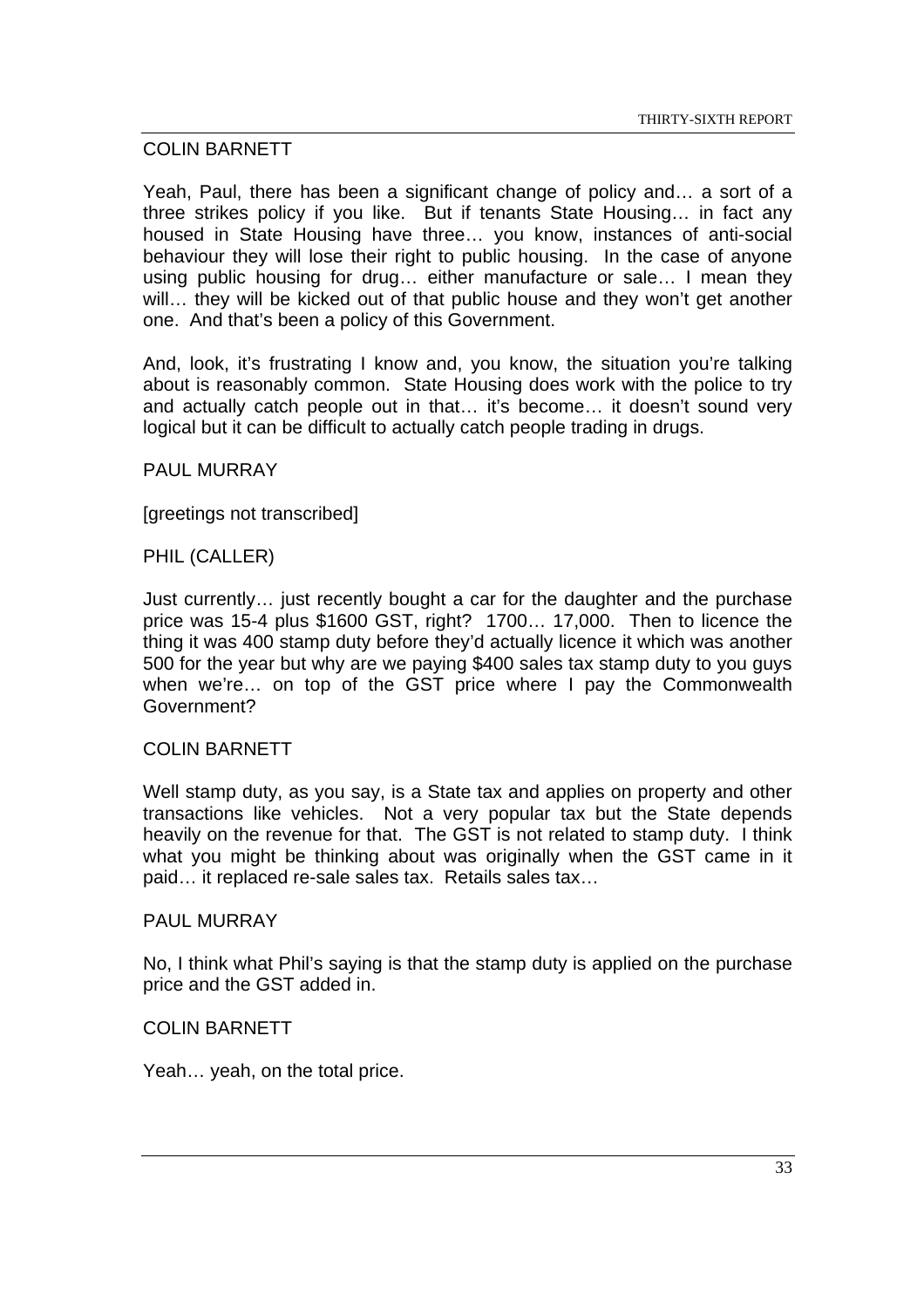# COLIN BARNETT

Yeah, Paul, there has been a significant change of policy and… a sort of a three strikes policy if you like. But if tenants State Housing… in fact any housed in State Housing have three… you know, instances of anti-social behaviour they will lose their right to public housing. In the case of anyone using public housing for drug… either manufacture or sale… I mean they will… they will be kicked out of that public house and they won't get another one. And that's been a policy of this Government.

And, look, it's frustrating I know and, you know, the situation you're talking about is reasonably common. State Housing does work with the police to try and actually catch people out in that… it's become… it doesn't sound very logical but it can be difficult to actually catch people trading in drugs.

# PAUL MURRAY

[greetings not transcribed]

#### PHIL (CALLER)

Just currently… just recently bought a car for the daughter and the purchase price was 15-4 plus \$1600 GST, right? 1700… 17,000. Then to licence the thing it was 400 stamp duty before they'd actually licence it which was another 500 for the year but why are we paying \$400 sales tax stamp duty to you guys when we're… on top of the GST price where I pay the Commonwealth Government?

#### COLIN BARNETT

Well stamp duty, as you say, is a State tax and applies on property and other transactions like vehicles. Not a very popular tax but the State depends heavily on the revenue for that. The GST is not related to stamp duty. I think what you might be thinking about was originally when the GST came in it paid… it replaced re-sale sales tax. Retails sales tax…

#### PAUL MURRAY

No, I think what Phil's saying is that the stamp duty is applied on the purchase price and the GST added in.

#### COLIN BARNETT

Yeah… yeah, on the total price.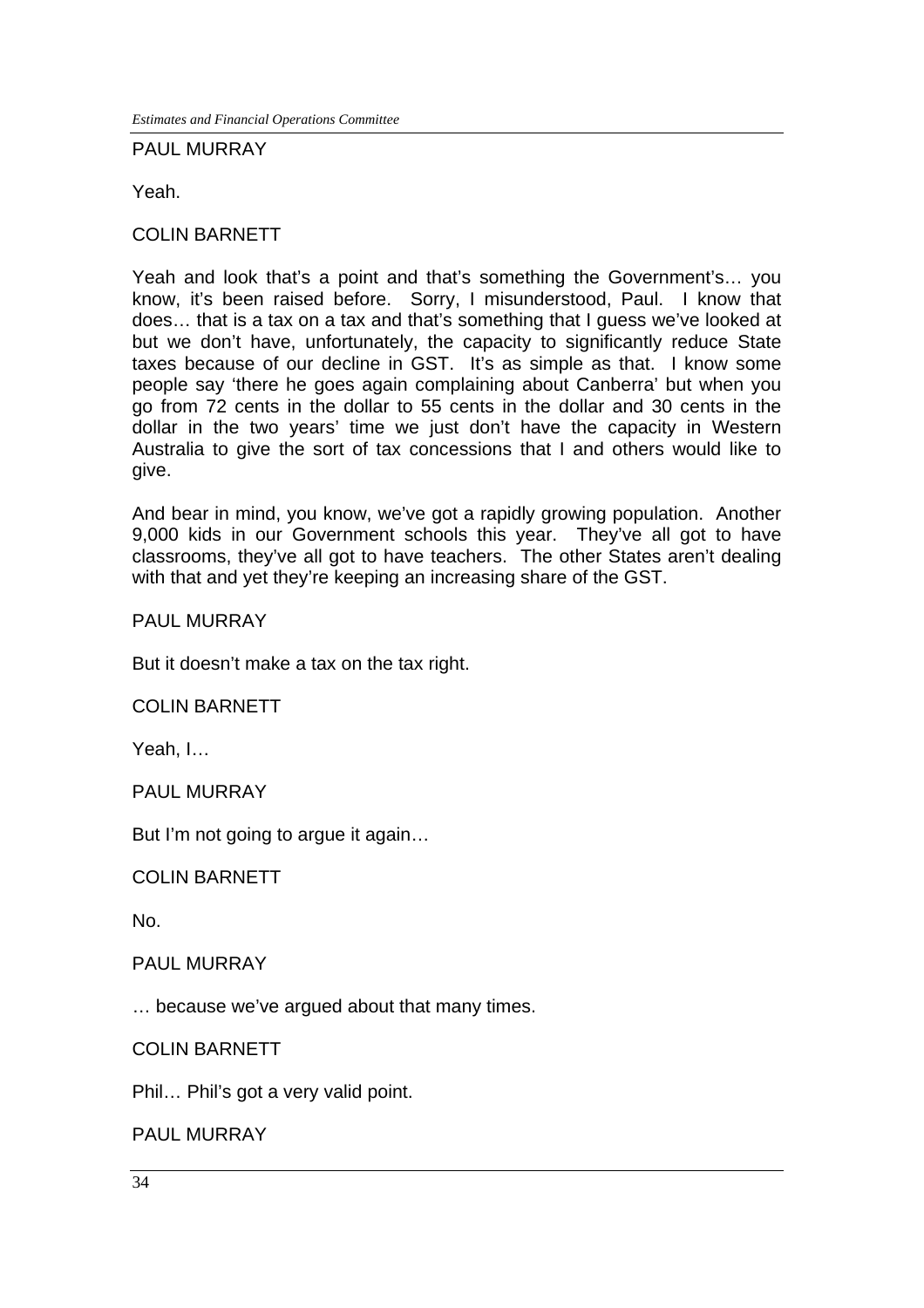*Estimates and Financial Operations Committee*

#### PAUL MURRAY

Yeah.

# COLIN BARNETT

Yeah and look that's a point and that's something the Government's… you know, it's been raised before. Sorry, I misunderstood, Paul. I know that does… that is a tax on a tax and that's something that I guess we've looked at but we don't have, unfortunately, the capacity to significantly reduce State taxes because of our decline in GST. It's as simple as that. I know some people say 'there he goes again complaining about Canberra' but when you go from 72 cents in the dollar to 55 cents in the dollar and 30 cents in the dollar in the two years' time we just don't have the capacity in Western Australia to give the sort of tax concessions that I and others would like to give.

And bear in mind, you know, we've got a rapidly growing population. Another 9,000 kids in our Government schools this year. They've all got to have classrooms, they've all got to have teachers. The other States aren't dealing with that and yet they're keeping an increasing share of the GST.

#### PAUL MURRAY

But it doesn't make a tax on the tax right.

COLIN BARNETT

Yeah, I…

PAUL MURRAY

But I'm not going to argue it again…

COLIN BARNETT

No.

#### PAUL MURRAY

… because we've argued about that many times.

COLIN BARNETT

Phil… Phil's got a very valid point.

PAUL MURRAY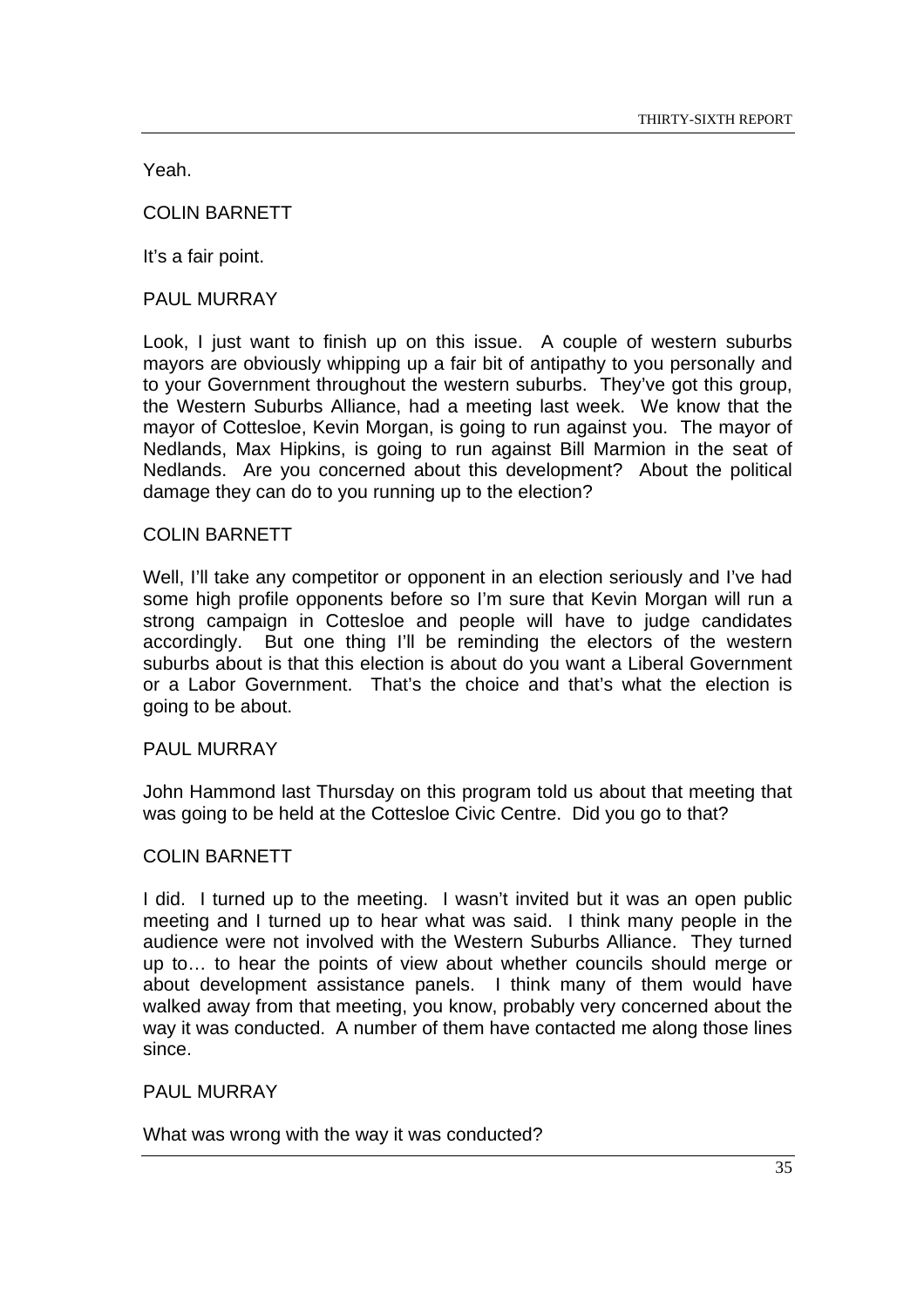Yeah.

COLIN BARNETT

It's a fair point.

PAUL MURRAY

Look, I just want to finish up on this issue. A couple of western suburbs mayors are obviously whipping up a fair bit of antipathy to you personally and to your Government throughout the western suburbs. They've got this group, the Western Suburbs Alliance, had a meeting last week. We know that the mayor of Cottesloe, Kevin Morgan, is going to run against you. The mayor of Nedlands, Max Hipkins, is going to run against Bill Marmion in the seat of Nedlands. Are you concerned about this development? About the political damage they can do to you running up to the election?

#### COLIN BARNETT

Well, I'll take any competitor or opponent in an election seriously and I've had some high profile opponents before so I'm sure that Kevin Morgan will run a strong campaign in Cottesloe and people will have to judge candidates accordingly. But one thing I'll be reminding the electors of the western suburbs about is that this election is about do you want a Liberal Government or a Labor Government. That's the choice and that's what the election is going to be about.

#### PAUL MURRAY

John Hammond last Thursday on this program told us about that meeting that was going to be held at the Cottesloe Civic Centre. Did you go to that?

#### COLIN BARNETT

I did. I turned up to the meeting. I wasn't invited but it was an open public meeting and I turned up to hear what was said. I think many people in the audience were not involved with the Western Suburbs Alliance. They turned up to… to hear the points of view about whether councils should merge or about development assistance panels. I think many of them would have walked away from that meeting, you know, probably very concerned about the way it was conducted. A number of them have contacted me along those lines since.

#### PAUL MURRAY

What was wrong with the way it was conducted?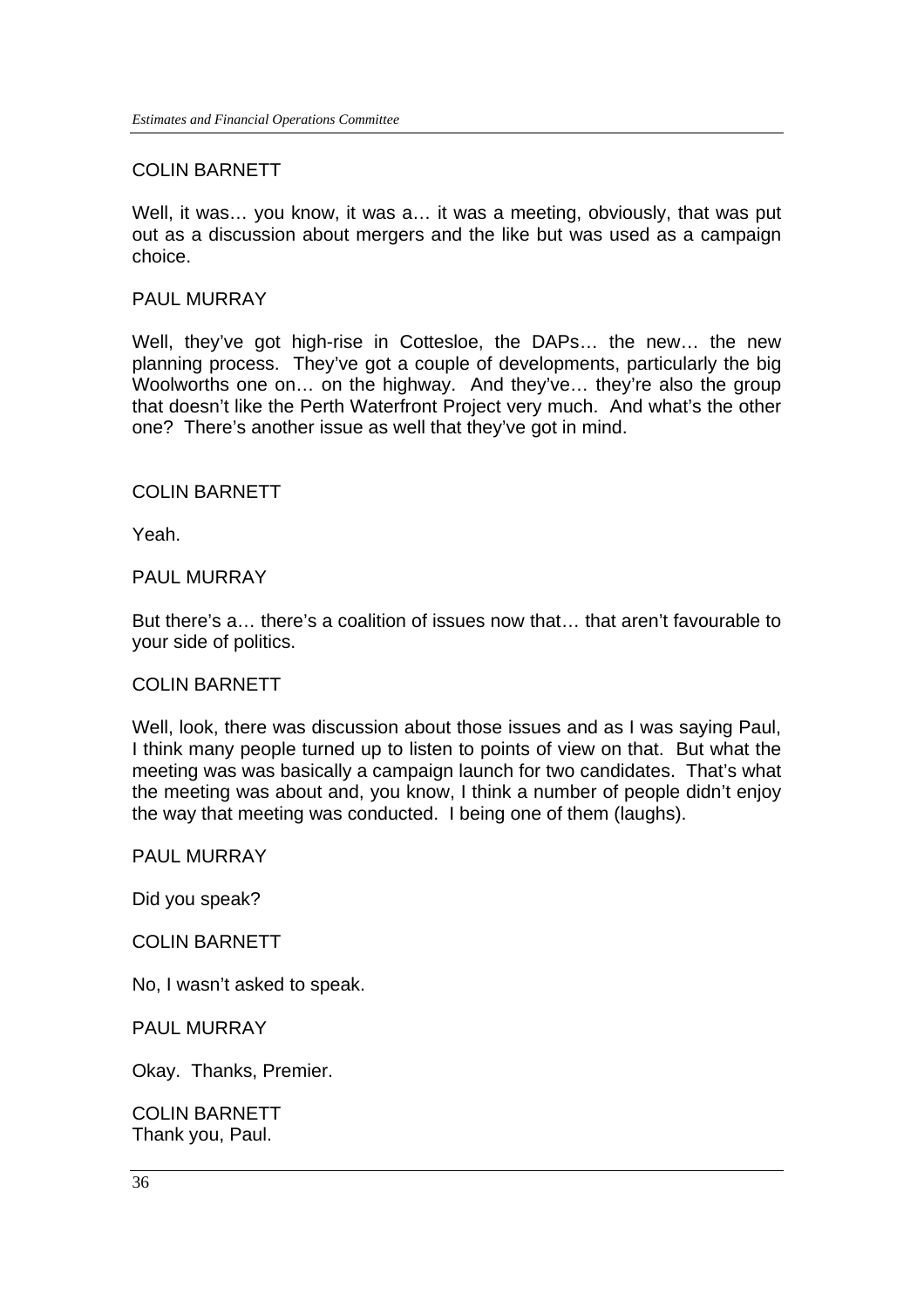# COLIN BARNETT

Well, it was… you know, it was a… it was a meeting, obviously, that was put out as a discussion about mergers and the like but was used as a campaign choice.

#### PAUL MURRAY

Well, they've got high-rise in Cottesloe, the DAPs… the new… the new planning process. They've got a couple of developments, particularly the big Woolworths one on… on the highway. And they've… they're also the group that doesn't like the Perth Waterfront Project very much. And what's the other one? There's another issue as well that they've got in mind.

#### COLIN BARNETT

Yeah.

#### PAUL MURRAY

But there's a… there's a coalition of issues now that… that aren't favourable to your side of politics.

#### COLIN BARNETT

Well, look, there was discussion about those issues and as I was saying Paul, I think many people turned up to listen to points of view on that. But what the meeting was was basically a campaign launch for two candidates. That's what the meeting was about and, you know, I think a number of people didn't enjoy the way that meeting was conducted. I being one of them (laughs).

#### PAUL MURRAY

Did you speak?

#### COLIN BARNETT

No, I wasn't asked to speak.

PAUL MURRAY

Okay. Thanks, Premier.

COLIN BARNETT Thank you, Paul.